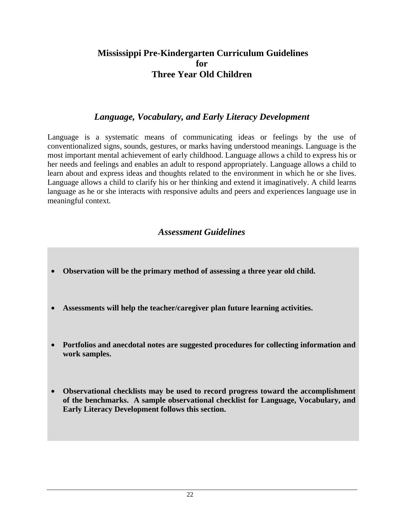# **Mississippi Pre-Kindergarten Curriculum Guidelines for Three Year Old Children**

## *Language, Vocabulary, and Early Literacy Development*

Language is a systematic means of communicating ideas or feelings by the use of conventionalized signs, sounds, gestures, or marks having understood meanings. Language is the most important mental achievement of early childhood. Language allows a child to express his or her needs and feelings and enables an adult to respond appropriately. Language allows a child to learn about and express ideas and thoughts related to the environment in which he or she lives. Language allows a child to clarify his or her thinking and extend it imaginatively. A child learns language as he or she interacts with responsive adults and peers and experiences language use in meaningful context.

# *Assessment Guidelines*

- **Observation will be the primary method of assessing a three year old child.**
- **Assessments will help the teacher/caregiver plan future learning activities.**
- **Portfolios and anecdotal notes are suggested procedures for collecting information and work samples.**
- **Observational checklists may be used to record progress toward the accomplishment of the benchmarks. A sample observational checklist for Language, Vocabulary, and Early Literacy Development follows this section.**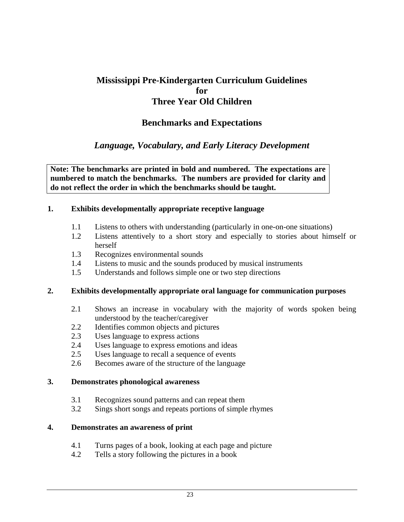# **Mississippi Pre-Kindergarten Curriculum Guidelines for Three Year Old Children**

## **Benchmarks and Expectations**

# *Language, Vocabulary, and Early Literacy Development*

**Note: The benchmarks are printed in bold and numbered. The expectations are numbered to match the benchmarks. The numbers are provided for clarity and do not reflect the order in which the benchmarks should be taught.**

#### **1. Exhibits developmentally appropriate receptive language**

- 1.1 Listens to others with understanding (particularly in one-on-one situations)
- 1.2 Listens attentively to a short story and especially to stories about himself or herself
- 1.3 Recognizes environmental sounds
- 1.4 Listens to music and the sounds produced by musical instruments
- 1.5 Understands and follows simple one or two step directions

#### **2. Exhibits developmentally appropriate oral language for communication purposes**

- 2.1 Shows an increase in vocabulary with the majority of words spoken being understood by the teacher/caregiver
- 2.2 Identifies common objects and pictures
- 2.3 Uses language to express actions
- 2.4 Uses language to express emotions and ideas
- 2.5 Uses language to recall a sequence of events
- 2.6 Becomes aware of the structure of the language

#### **3. Demonstrates phonological awareness**

- 3.1 Recognizes sound patterns and can repeat them
- 3.2 Sings short songs and repeats portions of simple rhymes

#### **4. Demonstrates an awareness of print**

- 4.1 Turns pages of a book, looking at each page and picture
- 4.2 Tells a story following the pictures in a book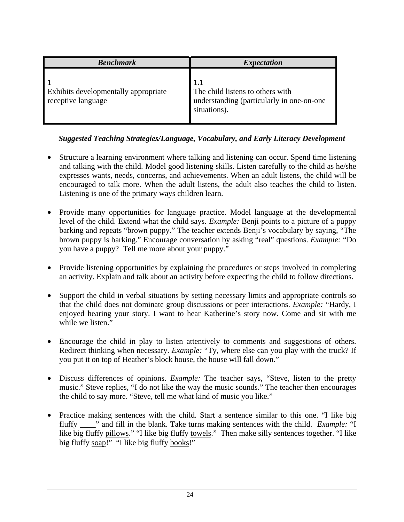| <b>Benchmark</b>                                           | <i><b>Expectation</b></i>                                                                            |
|------------------------------------------------------------|------------------------------------------------------------------------------------------------------|
| Exhibits developmentally appropriate<br>receptive language | 1.1<br>The child listens to others with<br>understanding (particularly in one-on-one<br>situations). |

- Structure a learning environment where talking and listening can occur. Spend time listening and talking with the child. Model good listening skills. Listen carefully to the child as he/she expresses wants, needs, concerns, and achievements. When an adult listens, the child will be encouraged to talk more. When the adult listens, the adult also teaches the child to listen. Listening is one of the primary ways children learn.
- Provide many opportunities for language practice. Model language at the developmental level of the child. Extend what the child says. *Example:* Benji points to a picture of a puppy barking and repeats "brown puppy." The teacher extends Benji's vocabulary by saying, "The brown puppy is barking." Encourage conversation by asking "real" questions. *Example:* "Do you have a puppy? Tell me more about your puppy."
- Provide listening opportunities by explaining the procedures or steps involved in completing an activity. Explain and talk about an activity before expecting the child to follow directions.
- Support the child in verbal situations by setting necessary limits and appropriate controls so that the child does not dominate group discussions or peer interactions. *Example:* "Hardy, I enjoyed hearing your story. I want to hear Katherine's story now. Come and sit with me while we listen."
- Encourage the child in play to listen attentively to comments and suggestions of others. Redirect thinking when necessary. *Example:* "Ty, where else can you play with the truck? If you put it on top of Heather's block house, the house will fall down."
- Discuss differences of opinions. *Example:* The teacher says, "Steve, listen to the pretty music." Steve replies, "I do not like the way the music sounds." The teacher then encourages the child to say more. "Steve, tell me what kind of music you like."
- Practice making sentences with the child. Start a sentence similar to this one. "I like big fluffy \_\_\_\_" and fill in the blank. Take turns making sentences with the child. *Example:* "I like big fluffy pillows." "I like big fluffy towels." Then make silly sentences together. "I like big fluffy soap!" "I like big fluffy books!"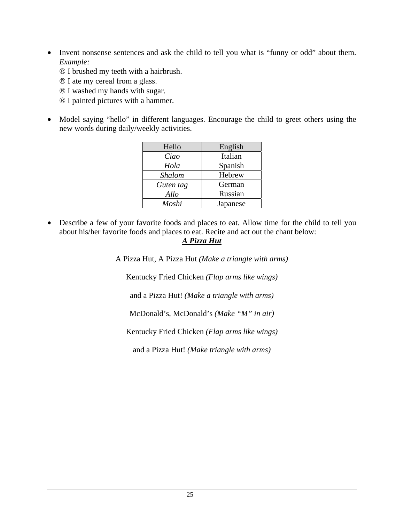- Invent nonsense sentences and ask the child to tell you what is "funny or odd" about them. *Example:*
	- ® I brushed my teeth with a hairbrush.
	- ® I ate my cereal from a glass.
	- ® I washed my hands with sugar.
	- ® I painted pictures with a hammer.
- Model saying "hello" in different languages. Encourage the child to greet others using the new words during daily/weekly activities.

| Hello         | English  |
|---------------|----------|
| Ciao          | Italian  |
| Hola          | Spanish  |
| <b>Shalom</b> | Hebrew   |
| Guten tag     | German   |
| Allo          | Russian  |
| Moshi         | Japanese |

• Describe a few of your favorite foods and places to eat. Allow time for the child to tell you about his/her favorite foods and places to eat. Recite and act out the chant below: *A Pizza Hut*

A Pizza Hut, A Pizza Hut *(Make a triangle with arms)* 

Kentucky Fried Chicken *(Flap arms like wings)* 

and a Pizza Hut! *(Make a triangle with arms)* 

McDonald's, McDonald's *(Make "M" in air)* 

Kentucky Fried Chicken *(Flap arms like wings)* 

and a Pizza Hut! *(Make triangle with arms)*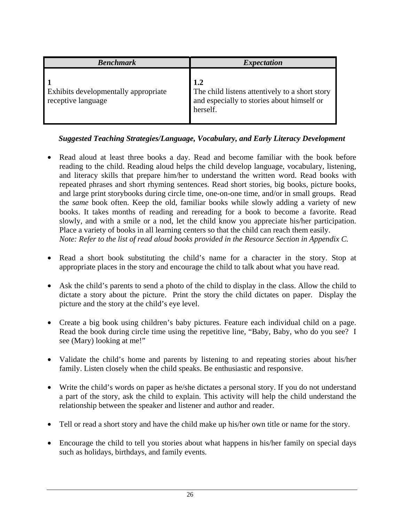| <b>Benchmark</b>                                           | <i>Expectation</i>                                                                                              |
|------------------------------------------------------------|-----------------------------------------------------------------------------------------------------------------|
| Exhibits developmentally appropriate<br>receptive language | 1.2<br>The child listens attentively to a short story<br>and especially to stories about himself or<br>herself. |

- Read aloud at least three books a day. Read and become familiar with the book before reading to the child. Reading aloud helps the child develop language, vocabulary, listening, and literacy skills that prepare him/her to understand the written word. Read books with repeated phrases and short rhyming sentences. Read short stories, big books, picture books, and large print storybooks during circle time, one-on-one time, and/or in small groups. Read the *same* book often. Keep the old, familiar books while slowly adding a variety of new books. It takes months of reading and rereading for a book to become a favorite. Read slowly, and with a smile or a nod, let the child know you appreciate his/her participation. Place a variety of books in all learning centers so that the child can reach them easily. *Note: Refer to the list of read aloud books provided in the Resource Section in Appendix C.*
- Read a short book substituting the child's name for a character in the story. Stop at appropriate places in the story and encourage the child to talk about what you have read.
- Ask the child's parents to send a photo of the child to display in the class. Allow the child to dictate a story about the picture. Print the story the child dictates on paper. Display the picture and the story at the child's eye level.
- Create a big book using children's baby pictures. Feature each individual child on a page. Read the book during circle time using the repetitive line, "Baby, Baby, who do you see? I see (Mary) looking at me!"
- Validate the child's home and parents by listening to and repeating stories about his/her family. Listen closely when the child speaks. Be enthusiastic and responsive.
- Write the child's words on paper as he/she dictates a personal story. If you do not understand a part of the story, ask the child to explain. This activity will help the child understand the relationship between the speaker and listener and author and reader.
- Tell or read a short story and have the child make up his/her own title or name for the story.
- Encourage the child to tell you stories about what happens in his/her family on special days such as holidays, birthdays, and family events.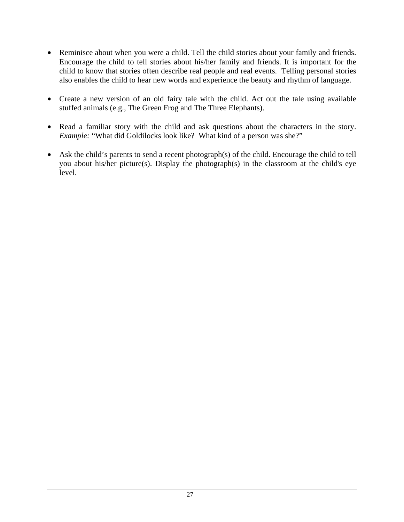- Reminisce about when you were a child. Tell the child stories about your family and friends. Encourage the child to tell stories about his/her family and friends. It is important for the child to know that stories often describe real people and real events. Telling personal stories also enables the child to hear new words and experience the beauty and rhythm of language.
- Create a new version of an old fairy tale with the child. Act out the tale using available stuffed animals (e.g., The Green Frog and The Three Elephants).
- Read a familiar story with the child and ask questions about the characters in the story. *Example:* "What did Goldilocks look like? What kind of a person was she?"
- Ask the child's parents to send a recent photograph(s) of the child. Encourage the child to tell you about his/her picture(s). Display the photograph(s) in the classroom at the child's eye level.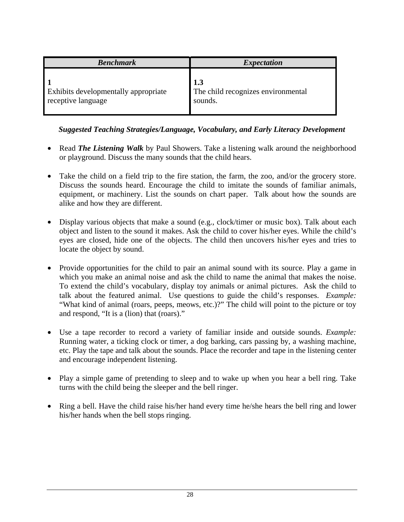| <b>Benchmark</b>                                           | <i>Expectation</i>                                   |
|------------------------------------------------------------|------------------------------------------------------|
| Exhibits developmentally appropriate<br>receptive language | 1.3<br>The child recognizes environmental<br>sounds. |

- Read *The Listening Walk* by Paul Showers. Take a listening walk around the neighborhood or playground. Discuss the many sounds that the child hears.
- Take the child on a field trip to the fire station, the farm, the zoo, and/or the grocery store. Discuss the sounds heard. Encourage the child to imitate the sounds of familiar animals, equipment, or machinery. List the sounds on chart paper. Talk about how the sounds are alike and how they are different.
- Display various objects that make a sound (e.g., clock/timer or music box). Talk about each object and listen to the sound it makes. Ask the child to cover his/her eyes. While the child's eyes are closed, hide one of the objects. The child then uncovers his/her eyes and tries to locate the object by sound.
- Provide opportunities for the child to pair an animal sound with its source. Play a game in which you make an animal noise and ask the child to name the animal that makes the noise. To extend the child's vocabulary, display toy animals or animal pictures. Ask the child to talk about the featured animal. Use questions to guide the child's responses. *Example:* "What kind of animal (roars, peeps, meows, etc.)?" The child will point to the picture or toy and respond, "It is a (lion) that (roars)."
- Use a tape recorder to record a variety of familiar inside and outside sounds. *Example:* Running water, a ticking clock or timer, a dog barking, cars passing by, a washing machine, etc. Play the tape and talk about the sounds. Place the recorder and tape in the listening center and encourage independent listening.
- Play a simple game of pretending to sleep and to wake up when you hear a bell ring. Take turns with the child being the sleeper and the bell ringer.
- Ring a bell. Have the child raise his/her hand every time he/she hears the bell ring and lower his/her hands when the bell stops ringing.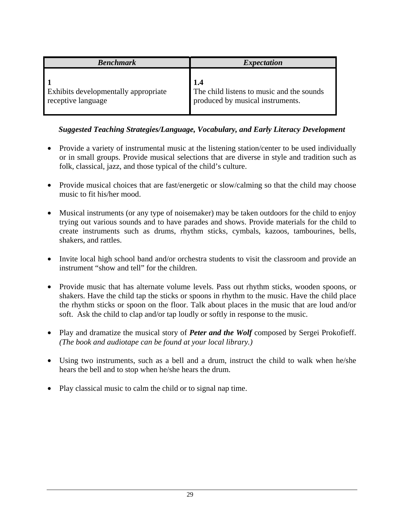| <b>Benchmark</b>                                           | <i>Expectation</i>                                                                   |
|------------------------------------------------------------|--------------------------------------------------------------------------------------|
| Exhibits developmentally appropriate<br>receptive language | 1.4<br>The child listens to music and the sounds<br>produced by musical instruments. |

- Provide a variety of instrumental music at the listening station/center to be used individually or in small groups. Provide musical selections that are diverse in style and tradition such as folk, classical, jazz, and those typical of the child's culture.
- Provide musical choices that are fast/energetic or slow/calming so that the child may choose music to fit his/her mood.
- Musical instruments (or any type of noisemaker) may be taken outdoors for the child to enjoy trying out various sounds and to have parades and shows. Provide materials for the child to create instruments such as drums, rhythm sticks, cymbals, kazoos, tambourines, bells, shakers, and rattles.
- Invite local high school band and/or orchestra students to visit the classroom and provide an instrument "show and tell" for the children.
- Provide music that has alternate volume levels. Pass out rhythm sticks, wooden spoons, or shakers. Have the child tap the sticks or spoons in rhythm to the music. Have the child place the rhythm sticks or spoon on the floor. Talk about places in the music that are loud and/or soft. Ask the child to clap and/or tap loudly or softly in response to the music.
- Play and dramatize the musical story of *Peter and the Wolf* composed by Sergei Prokofieff. *(The book and audiotape can be found at your local library.)*
- Using two instruments, such as a bell and a drum, instruct the child to walk when he/she hears the bell and to stop when he/she hears the drum.
- Play classical music to calm the child or to signal nap time.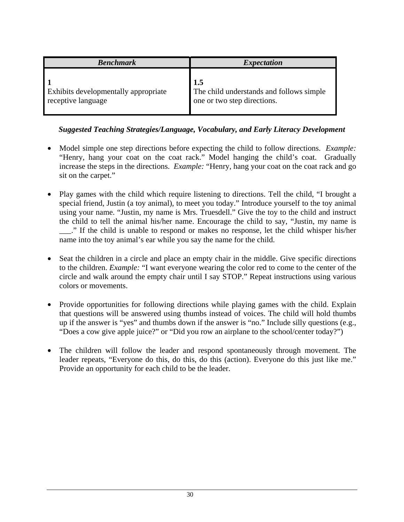| <b>Benchmark</b>                                           | <i>Expectation</i>                                                             |
|------------------------------------------------------------|--------------------------------------------------------------------------------|
| Exhibits developmentally appropriate<br>receptive language | 1.5<br>The child understands and follows simple<br>one or two step directions. |

- Model simple one step directions before expecting the child to follow directions. *Example:* "Henry, hang your coat on the coat rack." Model hanging the child's coat. Gradually increase the steps in the directions. *Example:* "Henry, hang your coat on the coat rack and go sit on the carpet."
- Play games with the child which require listening to directions. Tell the child, "I brought a special friend, Justin (a toy animal), to meet you today." Introduce yourself to the toy animal using your name. "Justin, my name is Mrs. Truesdell." Give the toy to the child and instruct the child to tell the animal his/her name. Encourage the child to say, "Justin, my name is \_\_\_." If the child is unable to respond or makes no response, let the child whisper his/her name into the toy animal's ear while you say the name for the child.
- Seat the children in a circle and place an empty chair in the middle. Give specific directions to the children. *Example:* "I want everyone wearing the color red to come to the center of the circle and walk around the empty chair until I say STOP." Repeat instructions using various colors or movements.
- Provide opportunities for following directions while playing games with the child. Explain that questions will be answered using thumbs instead of voices. The child will hold thumbs up if the answer is "yes" and thumbs down if the answer is "no." Include silly questions (e.g., "Does a cow give apple juice?" or "Did you row an airplane to the school/center today?")
- The children will follow the leader and respond spontaneously through movement. The leader repeats, "Everyone do this, do this, do this (action). Everyone do this just like me." Provide an opportunity for each child to be the leader.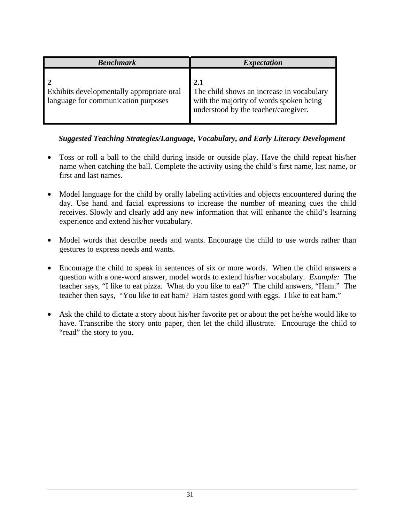| <b>Benchmark</b>                                                                 | <i>Expectation</i>                                                                                                                  |
|----------------------------------------------------------------------------------|-------------------------------------------------------------------------------------------------------------------------------------|
| Exhibits developmentally appropriate oral<br>language for communication purposes | 2.1<br>The child shows an increase in vocabulary<br>with the majority of words spoken being<br>understood by the teacher/caregiver. |

- Toss or roll a ball to the child during inside or outside play. Have the child repeat his/her name when catching the ball. Complete the activity using the child's first name, last name, or first and last names.
- Model language for the child by orally labeling activities and objects encountered during the day. Use hand and facial expressions to increase the number of meaning cues the child receives. Slowly and clearly add any new information that will enhance the child's learning experience and extend his/her vocabulary.
- Model words that describe needs and wants. Encourage the child to use words rather than gestures to express needs and wants.
- Encourage the child to speak in sentences of six or more words. When the child answers a question with a one-word answer, model words to extend his/her vocabulary. *Example:* The teacher says, "I like to eat pizza. What do you like to eat?" The child answers, "Ham." The teacher then says, "You like to eat ham? Ham tastes good with eggs. I like to eat ham."
- Ask the child to dictate a story about his/her favorite pet or about the pet he/she would like to have. Transcribe the story onto paper, then let the child illustrate. Encourage the child to "read" the story to you.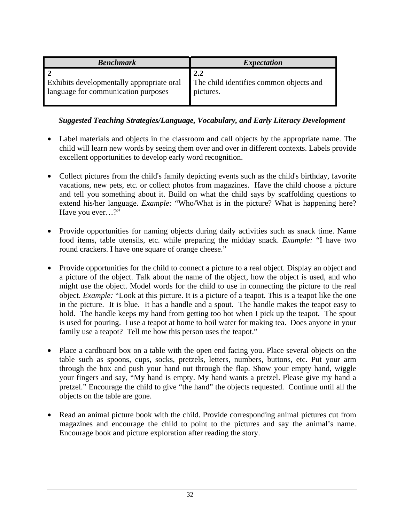| <b>Benchmark</b>                                                                 | <i>Expectation</i>                                          |
|----------------------------------------------------------------------------------|-------------------------------------------------------------|
| Exhibits developmentally appropriate oral<br>language for communication purposes | 2.2<br>The child identifies common objects and<br>pictures. |

- Label materials and objects in the classroom and call objects by the appropriate name. The child will learn new words by seeing them over and over in different contexts. Labels provide excellent opportunities to develop early word recognition.
- Collect pictures from the child's family depicting events such as the child's birthday, favorite vacations, new pets, etc. or collect photos from magazines. Have the child choose a picture and tell you something about it. Build on what the child says by scaffolding questions to extend his/her language. *Example:* "Who/What is in the picture? What is happening here? Have you ever...?"
- Provide opportunities for naming objects during daily activities such as snack time. Name food items, table utensils, etc. while preparing the midday snack. *Example:* "I have two round crackers. I have one square of orange cheese."
- Provide opportunities for the child to connect a picture to a real object. Display an object and a picture of the object. Talk about the name of the object, how the object is used, and who might use the object. Model words for the child to use in connecting the picture to the real object. *Example:* "Look at this picture. It is a picture of a teapot. This is a teapot like the one in the picture. It is blue. It has a handle and a spout. The handle makes the teapot easy to hold. The handle keeps my hand from getting too hot when I pick up the teapot. The spout is used for pouring. I use a teapot at home to boil water for making tea. Does anyone in your family use a teapot? Tell me how this person uses the teapot."
- Place a cardboard box on a table with the open end facing you. Place several objects on the table such as spoons, cups, socks, pretzels, letters, numbers, buttons, etc. Put your arm through the box and push your hand out through the flap. Show your empty hand, wiggle your fingers and say, "My hand is empty. My hand wants a pretzel. Please give my hand a pretzel." Encourage the child to give "the hand" the objects requested. Continue until all the objects on the table are gone.
- Read an animal picture book with the child. Provide corresponding animal pictures cut from magazines and encourage the child to point to the pictures and say the animal's name. Encourage book and picture exploration after reading the story.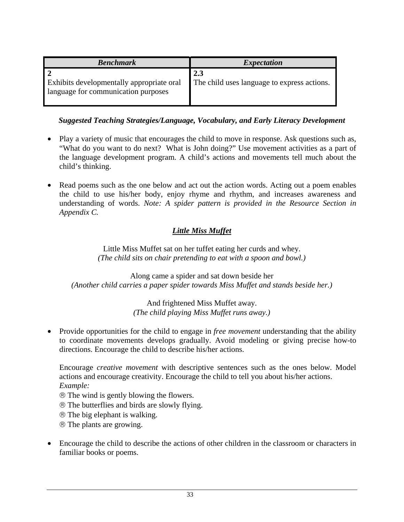| <b>Benchmark</b>                          | <i>Expectation</i>                          |
|-------------------------------------------|---------------------------------------------|
| Exhibits developmentally appropriate oral | 2.3                                         |
| language for communication purposes       | The child uses language to express actions. |

- Play a variety of music that encourages the child to move in response. Ask questions such as, "What do you want to do next? What is John doing?" Use movement activities as a part of the language development program. A child's actions and movements tell much about the child's thinking.
- Read poems such as the one below and act out the action words. Acting out a poem enables the child to use his/her body, enjoy rhyme and rhythm, and increases awareness and understanding of words. *Note: A spider pattern is provided in the Resource Section in Appendix C.*

# *Little Miss Muffet*

Little Miss Muffet sat on her tuffet eating her curds and whey. *(The child sits on chair pretending to eat with a spoon and bowl.)* 

Along came a spider and sat down beside her *(Another child carries a paper spider towards Miss Muffet and stands beside her.)* 

### And frightened Miss Muffet away. *(The child playing Miss Muffet runs away.)*

• Provide opportunities for the child to engage in *free movement* understanding that the ability to coordinate movements develops gradually. Avoid modeling or giving precise how-to directions. Encourage the child to describe his/her actions.

Encourage *creative movement* with descriptive sentences such as the ones below. Model actions and encourage creativity. Encourage the child to tell you about his/her actions. *Example:* 

- ® The wind is gently blowing the flowers.
- ® The butterflies and birds are slowly flying.
- ® The big elephant is walking.
- ® The plants are growing.
- Encourage the child to describe the actions of other children in the classroom or characters in familiar books or poems.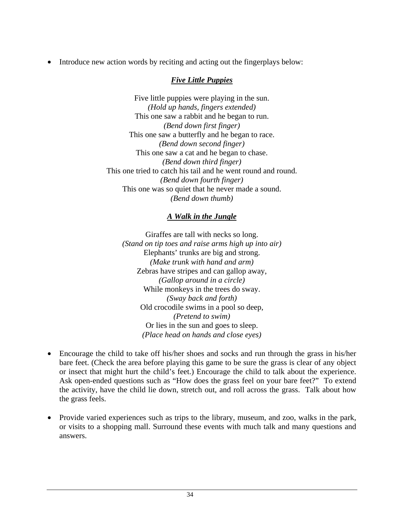• Introduce new action words by reciting and acting out the fingerplays below:

# *Five Little Puppies*

Five little puppies were playing in the sun. *(Hold up hands, fingers extended)* This one saw a rabbit and he began to run. *(Bend down first finger)*  This one saw a butterfly and he began to race. *(Bend down second finger)*  This one saw a cat and he began to chase. *(Bend down third finger)*  This one tried to catch his tail and he went round and round. *(Bend down fourth finger)*  This one was so quiet that he never made a sound. *(Bend down thumb)* 

## *A Walk in the Jungle*

Giraffes are tall with necks so long. *(Stand on tip toes and raise arms high up into air)*  Elephants' trunks are big and strong. *(Make trunk with hand and arm)*  Zebras have stripes and can gallop away, *(Gallop around in a circle)*  While monkeys in the trees do sway. *(Sway back and forth)*  Old crocodile swims in a pool so deep, *(Pretend to swim)*  Or lies in the sun and goes to sleep. *(Place head on hands and close eyes)* 

- Encourage the child to take off his/her shoes and socks and run through the grass in his/her bare feet. (Check the area before playing this game to be sure the grass is clear of any object or insect that might hurt the child's feet.) Encourage the child to talk about the experience. Ask open-ended questions such as "How does the grass feel on your bare feet?" To extend the activity, have the child lie down, stretch out, and roll across the grass. Talk about how the grass feels.
- Provide varied experiences such as trips to the library, museum, and zoo, walks in the park, or visits to a shopping mall. Surround these events with much talk and many questions and answers.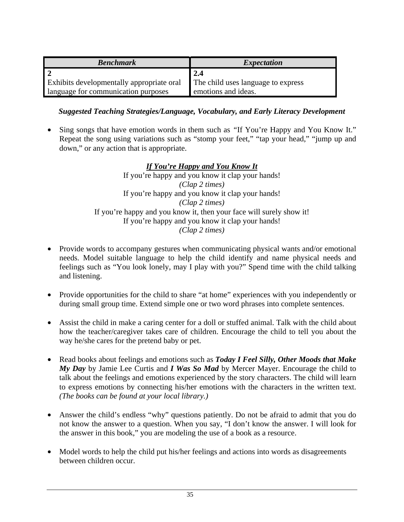| <b>Benchmark</b>                          | <i>Expectation</i>                 |
|-------------------------------------------|------------------------------------|
|                                           | 2.4                                |
| Exhibits developmentally appropriate oral | The child uses language to express |
| language for communication purposes       | emotions and ideas.                |

• Sing songs that have emotion words in them such as *"*If You're Happy and You Know It." Repeat the song using variations such as "stomp your feet," "tap your head," "jump up and down," or any action that is appropriate.

#### *If You're Happy and You Know It* If you're happy and you know it clap your hands! *(Clap 2 times)*  If you're happy and you know it clap your hands! *(Clap 2 times)*  If you're happy and you know it, then your face will surely show it! If you're happy and you know it clap your hands! *(Clap 2 times)*

- Provide words to accompany gestures when communicating physical wants and/or emotional needs. Model suitable language to help the child identify and name physical needs and feelings such as "You look lonely, may I play with you?" Spend time with the child talking and listening.
- Provide opportunities for the child to share "at home" experiences with you independently or during small group time. Extend simple one or two word phrases into complete sentences.
- Assist the child in make a caring center for a doll or stuffed animal. Talk with the child about how the teacher/caregiver takes care of children. Encourage the child to tell you about the way he/she cares for the pretend baby or pet.
- Read books about feelings and emotions such as *Today I Feel Silly, Other Moods that Make My Day* by Jamie Lee Curtis and *I Was So Mad* by Mercer Mayer. Encourage the child to talk about the feelings and emotions experienced by the story characters. The child will learn to express emotions by connecting his/her emotions with the characters in the written text. *(The books can be found at your local library.)*
- Answer the child's endless "why" questions patiently. Do not be afraid to admit that you do not know the answer to a question. When you say, "I don't know the answer. I will look for the answer in this book," you are modeling the use of a book as a resource.
- Model words to help the child put his/her feelings and actions into words as disagreements between children occur.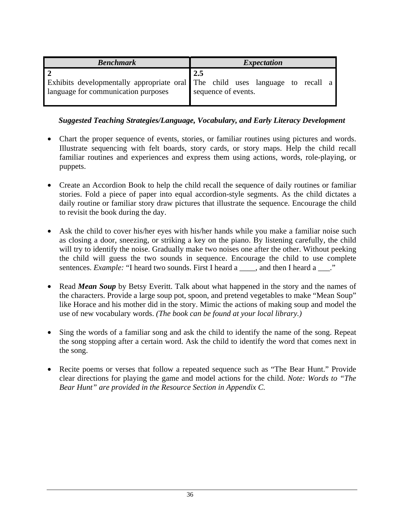| <b>Benchmark</b>                                                              | <i>Expectation</i>  |
|-------------------------------------------------------------------------------|---------------------|
| Exhibits developmentally appropriate oral The child uses language to recall a | 2.5                 |
| language for communication purposes                                           | sequence of events. |

- Chart the proper sequence of events, stories, or familiar routines using pictures and words. Illustrate sequencing with felt boards, story cards, or story maps. Help the child recall familiar routines and experiences and express them using actions, words, role-playing, or puppets.
- Create an Accordion Book to help the child recall the sequence of daily routines or familiar stories. Fold a piece of paper into equal accordion-style segments. As the child dictates a daily routine or familiar story draw pictures that illustrate the sequence. Encourage the child to revisit the book during the day.
- Ask the child to cover his/her eyes with his/her hands while you make a familiar noise such as closing a door, sneezing, or striking a key on the piano. By listening carefully, the child will try to identify the noise. Gradually make two noises one after the other. Without peeking the child will guess the two sounds in sequence. Encourage the child to use complete sentences. *Example:* "I heard two sounds. First I heard a \_\_\_\_, and then I heard a \_\_\_."
- Read *Mean Soup* by Betsy Everitt. Talk about what happened in the story and the names of the characters. Provide a large soup pot, spoon, and pretend vegetables to make "Mean Soup" like Horace and his mother did in the story. Mimic the actions of making soup and model the use of new vocabulary words. *(The book can be found at your local library.)*
- Sing the words of a familiar song and ask the child to identify the name of the song. Repeat the song stopping after a certain word. Ask the child to identify the word that comes next in the song.
- Recite poems or verses that follow a repeated sequence such as "The Bear Hunt." Provide clear directions for playing the game and model actions for the child. *Note: Words to "The Bear Hunt" are provided in the Resource Section in Appendix C.*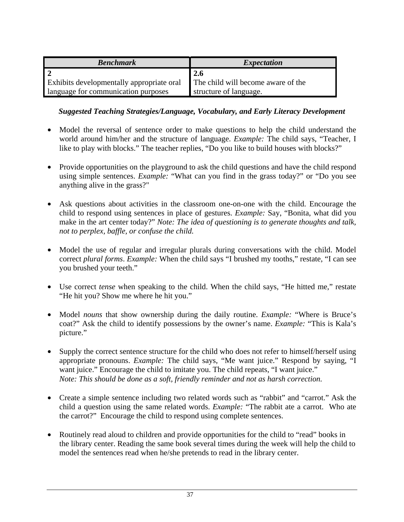| <b>Benchmark</b>                          | <i>Expectation</i>                 |
|-------------------------------------------|------------------------------------|
|                                           | 2.6                                |
| Exhibits developmentally appropriate oral | The child will become aware of the |
| language for communication purposes       | structure of language.             |

- Model the reversal of sentence order to make questions to help the child understand the world around him/her and the structure of language. *Example:* The child says, "Teacher, I like to play with blocks." The teacher replies, "Do you like to build houses with blocks?"
- Provide opportunities on the playground to ask the child questions and have the child respond using simple sentences. *Example:* "What can you find in the grass today?" or "Do you see anything alive in the grass?"
- Ask questions about activities in the classroom one-on-one with the child. Encourage the child to respond using sentences in place of gestures. *Example:* Say, "Bonita, what did you make in the art center today?" *Note: The idea of questioning is to generate thoughts and talk, not to perplex, baffle, or confuse the child.*
- Model the use of regular and irregular plurals during conversations with the child. Model correct *plural forms*. *Example:* When the child says "I brushed my tooths," restate, "I can see you brushed your teeth."
- Use correct *tense* when speaking to the child. When the child says, "He hitted me," restate "He hit you? Show me where he hit you."
- Model *nouns* that show ownership during the daily routine. *Example:* "Where is Bruce's coat?" Ask the child to identify possessions by the owner's name. *Example:* "This is Kala's picture."
- Supply the correct sentence structure for the child who does not refer to himself/herself using appropriate pronouns. *Example:* The child says, "Me want juice." Respond by saying, "I want juice." Encourage the child to imitate you. The child repeats, "I want juice." *Note: This should be done as a soft, friendly reminder and not as harsh correction.*
- Create a simple sentence including two related words such as "rabbit" and "carrot." Ask the child a question using the same related words. *Example:* "The rabbit ate a carrot. Who ate the carrot?" Encourage the child to respond using complete sentences.
- Routinely read aloud to children and provide opportunities for the child to "read" books in the library center. Reading the same book several times during the week will help the child to model the sentences read when he/she pretends to read in the library center.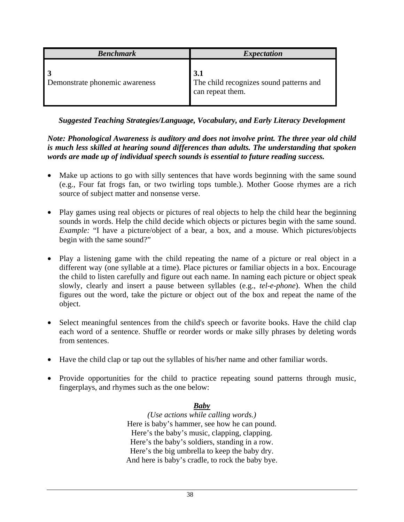| <b>Benchmark</b>               | <i>Expectation</i>                                                 |
|--------------------------------|--------------------------------------------------------------------|
| Demonstrate phonemic awareness | 3.1<br>The child recognizes sound patterns and<br>can repeat them. |

*Note: Phonological Awareness is auditory and does not involve print. The three year old child is much less skilled at hearing sound differences than adults. The understanding that spoken words are made up of individual speech sounds is essential to future reading success.* 

- Make up actions to go with silly sentences that have words beginning with the same sound (e.g., Four fat frogs fan, or two twirling tops tumble.). Mother Goose rhymes are a rich source of subject matter and nonsense verse.
- Play games using real objects or pictures of real objects to help the child hear the beginning sounds in words. Help the child decide which objects or pictures begin with the same sound. *Example:* "I have a picture/object of a bear, a box, and a mouse. Which pictures/objects begin with the same sound?"
- Play a listening game with the child repeating the name of a picture or real object in a different way (one syllable at a time). Place pictures or familiar objects in a box. Encourage the child to listen carefully and figure out each name. In naming each picture or object speak slowly, clearly and insert a pause between syllables (e.g., *tel-e-phone*). When the child figures out the word, take the picture or object out of the box and repeat the name of the object.
- Select meaningful sentences from the child's speech or favorite books. Have the child clap each word of a sentence. Shuffle or reorder words or make silly phrases by deleting words from sentences.
- Have the child clap or tap out the syllables of his/her name and other familiar words.
- Provide opportunities for the child to practice repeating sound patterns through music, fingerplays, and rhymes such as the one below:

### *Baby*

*(Use actions while calling words.)*  Here is baby's hammer, see how he can pound. Here's the baby's music, clapping, clapping. Here's the baby's soldiers, standing in a row. Here's the big umbrella to keep the baby dry. And here is baby's cradle, to rock the baby bye.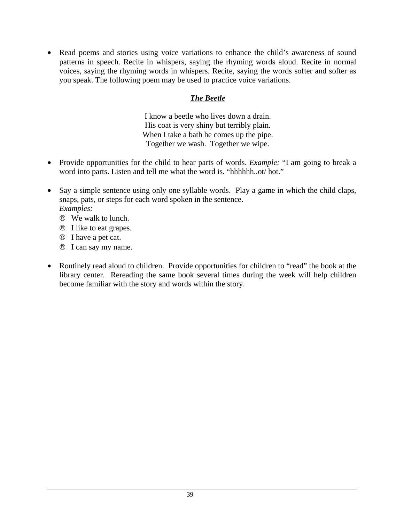Read poems and stories using voice variations to enhance the child's awareness of sound patterns in speech. Recite in whispers, saying the rhyming words aloud. Recite in normal voices, saying the rhyming words in whispers. Recite, saying the words softer and softer as you speak. The following poem may be used to practice voice variations.

## *The Beetle*

I know a beetle who lives down a drain. His coat is very shiny but terribly plain. When I take a bath he comes up the pipe. Together we wash. Together we wipe.

- Provide opportunities for the child to hear parts of words. *Example:* "I am going to break a word into parts. Listen and tell me what the word is. "hhhhhh..ot/ hot."
- Say a simple sentence using only one syllable words. Play a game in which the child claps, snaps, pats, or steps for each word spoken in the sentence. *Examples:*
	- ® We walk to lunch.
	- ® I like to eat grapes.
	- ® I have a pet cat.
	- ® I can say my name.
- Routinely read aloud to children. Provide opportunities for children to "read" the book at the library center. Rereading the same book several times during the week will help children become familiar with the story and words within the story.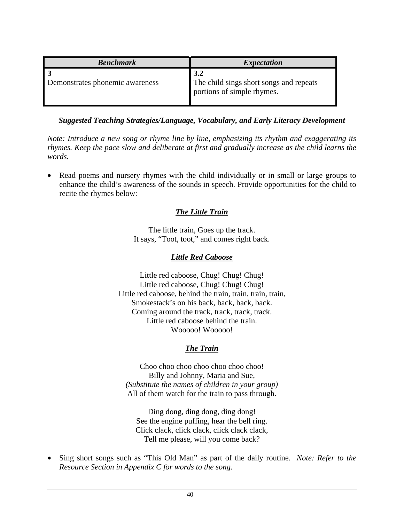| <b>Benchmark</b>                | <i>Expectation</i>                                                           |
|---------------------------------|------------------------------------------------------------------------------|
| Demonstrates phonemic awareness | 3.2<br>The child sings short songs and repeats<br>portions of simple rhymes. |

*Note: Introduce a new song or rhyme line by line, emphasizing its rhythm and exaggerating its rhymes. Keep the pace slow and deliberate at first and gradually increase as the child learns the words.* 

• Read poems and nursery rhymes with the child individually or in small or large groups to enhance the child's awareness of the sounds in speech. Provide opportunities for the child to recite the rhymes below:

# *The Little Train*

The little train, Goes up the track. It says, "Toot, toot," and comes right back.

### *Little Red Caboose*

Little red caboose, Chug! Chug! Chug! Little red caboose, Chug! Chug! Chug! Little red caboose, behind the train, train, train, train, Smokestack's on his back, back, back, back. Coming around the track, track, track, track. Little red caboose behind the train. Wooooo! Wooooo!

## *The Train*

Choo choo choo choo choo choo choo! Billy and Johnny, Maria and Sue, *(Substitute the names of children in your group)* All of them watch for the train to pass through.

Ding dong, ding dong, ding dong! See the engine puffing, hear the bell ring. Click clack, click clack, click clack clack, Tell me please, will you come back?

• Sing short songs such as "This Old Man" as part of the daily routine. *Note: Refer to the Resource Section in Appendix C for words to the song.*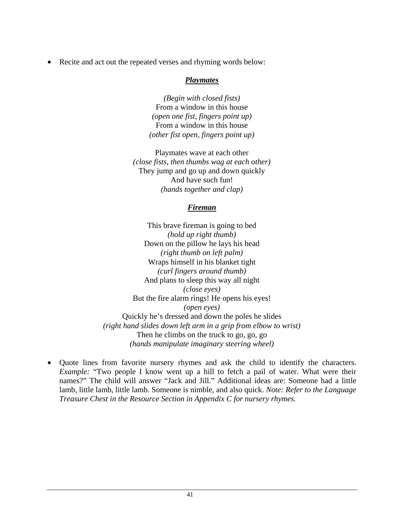Recite and act out the repeated verses and rhyming words below:

#### *Playmates*

*(Begin with closed fists)*  From a window in this house *(open one fist, fingers point up)*  From a window in this house *(other fist open, fingers point up)* 

Playmates wave at each other *(close fists, then thumbs wag at each other)*  They jump and go up and down quickly And have such fun! *(hands together and clap)* 

### *Fireman*

This brave fireman is going to bed *(hold up right thumb)*  Down on the pillow he lays his head *(right thumb on left palm)*  Wraps himself in his blanket tight *(curl fingers around thumb)*  And plans to sleep this way all night *(close eyes)*  But the fire alarm rings! He opens his eyes! *(open eyes)*  Quickly he's dressed and down the poles he slides *(right hand slides down left arm in a grip from elbow to wrist)*  Then he climbs on the truck to go, go, go *(hands manipulate imaginary steering wheel)* 

• Quote lines from favorite nursery rhymes and ask the child to identify the characters. *Example:* "Two people I know went up a hill to fetch a pail of water. What were their names?" The child will answer "Jack and Jill." Additional ideas are: Someone had a little lamb, little lamb, little lamb. Someone is nimble, and also quick. *Note: Refer to the Language Treasure Chest in the Resource Section in Appendix C for nursery rhymes.*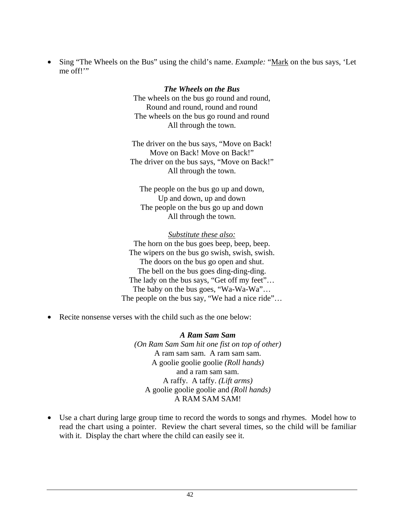• Sing "The Wheels on the Bus" using the child's name. *Example:* "Mark on the bus says, 'Let me off!"

> *The Wheels on the Bus*  The wheels on the bus go round and round, Round and round, round and round The wheels on the bus go round and round All through the town.

The driver on the bus says, "Move on Back! Move on Back! Move on Back!" The driver on the bus says, "Move on Back!" All through the town.

The people on the bus go up and down, Up and down, up and down The people on the bus go up and down All through the town.

*Substitute these also:* The horn on the bus goes beep, beep, beep. The wipers on the bus go swish, swish, swish. The doors on the bus go open and shut. The bell on the bus goes ding-ding-ding. The lady on the bus says, "Get off my feet"... The baby on the bus goes, "Wa-Wa-Wa"... The people on the bus say, "We had a nice ride"...

Recite nonsense verses with the child such as the one below:

*A Ram Sam Sam (On Ram Sam Sam hit one fist on top of other)*  A ram sam sam. A ram sam sam. A goolie goolie goolie *(Roll hands)*  and a ram sam sam. A raffy. A taffy. *(Lift arms)*  A goolie goolie goolie and *(Roll hands)* A RAM SAM SAM!

• Use a chart during large group time to record the words to songs and rhymes. Model how to read the chart using a pointer. Review the chart several times, so the child will be familiar with it. Display the chart where the child can easily see it.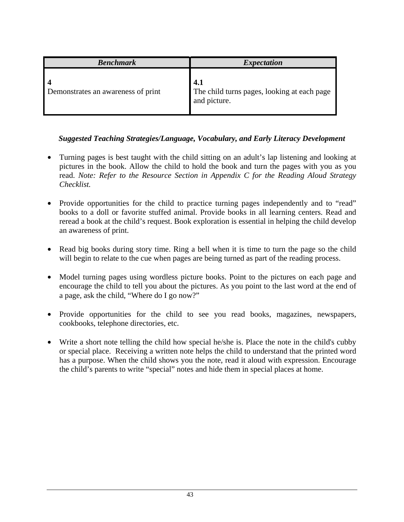| <b>Benchmark</b>                   | <i>Expectation</i>                                                 |
|------------------------------------|--------------------------------------------------------------------|
| Demonstrates an awareness of print | 4.1<br>The child turns pages, looking at each page<br>and picture. |

- Turning pages is best taught with the child sitting on an adult's lap listening and looking at pictures in the book. Allow the child to hold the book and turn the pages with you as you read. *Note: Refer to the Resource Section in Appendix C for the Reading Aloud Strategy Checklist.*
- Provide opportunities for the child to practice turning pages independently and to "read" books to a doll or favorite stuffed animal. Provide books in all learning centers. Read and reread a book at the child's request. Book exploration is essential in helping the child develop an awareness of print.
- Read big books during story time. Ring a bell when it is time to turn the page so the child will begin to relate to the cue when pages are being turned as part of the reading process.
- Model turning pages using wordless picture books. Point to the pictures on each page and encourage the child to tell you about the pictures. As you point to the last word at the end of a page, ask the child, "Where do I go now?"
- Provide opportunities for the child to see you read books, magazines, newspapers, cookbooks, telephone directories, etc.
- Write a short note telling the child how special he/she is. Place the note in the child's cubby or special place. Receiving a written note helps the child to understand that the printed word has a purpose. When the child shows you the note, read it aloud with expression. Encourage the child's parents to write "special" notes and hide them in special places at home.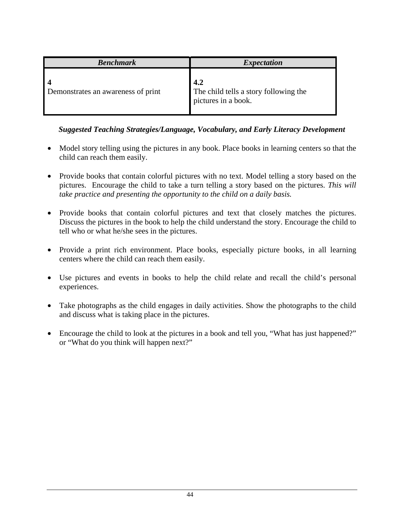| <b>Benchmark</b>                   | <b>Expectation</b>                                                  |
|------------------------------------|---------------------------------------------------------------------|
| Demonstrates an awareness of print | 4.2<br>The child tells a story following the<br>pictures in a book. |

- Model story telling using the pictures in any book. Place books in learning centers so that the child can reach them easily.
- Provide books that contain colorful pictures with no text. Model telling a story based on the pictures. Encourage the child to take a turn telling a story based on the pictures. *This will take practice and presenting the opportunity to the child on a daily basis.*
- Provide books that contain colorful pictures and text that closely matches the pictures. Discuss the pictures in the book to help the child understand the story. Encourage the child to tell who or what he/she sees in the pictures.
- Provide a print rich environment. Place books, especially picture books, in all learning centers where the child can reach them easily.
- Use pictures and events in books to help the child relate and recall the child's personal experiences.
- Take photographs as the child engages in daily activities. Show the photographs to the child and discuss what is taking place in the pictures.
- Encourage the child to look at the pictures in a book and tell you, "What has just happened?" or "What do you think will happen next?"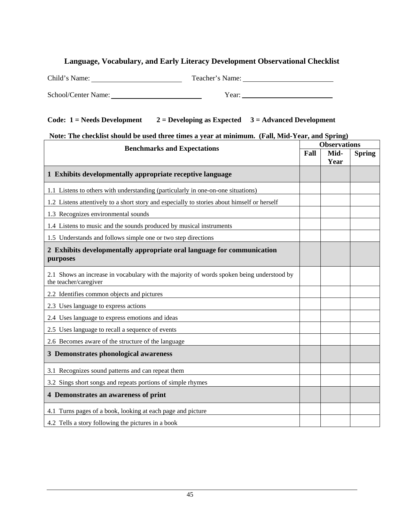### **Language, Vocabulary, and Early Literacy Development Observational Checklist**

| Child's Name:      | Teacher's Name: |  |
|--------------------|-----------------|--|
|                    |                 |  |
| School/Center Name | Year:           |  |

| SUNOVI/CUNTI INANIC. | <b>r</b> car. |  |
|----------------------|---------------|--|
|                      |               |  |
|                      |               |  |

#### Code: 1 = Needs Development 2 = Developing as Expected 3 = Advanced Development

#### **Note: The checklist should be used three times a year at minimum. (Fall, Mid-Year, and Spring)**

| <b>Benchmarks and Expectations</b>                                                                                 |  | <b>Observations</b> |               |  |
|--------------------------------------------------------------------------------------------------------------------|--|---------------------|---------------|--|
|                                                                                                                    |  | Mid-<br>Year        | <b>Spring</b> |  |
| 1 Exhibits developmentally appropriate receptive language                                                          |  |                     |               |  |
| 1.1 Listens to others with understanding (particularly in one-on-one situations)                                   |  |                     |               |  |
| 1.2 Listens attentively to a short story and especially to stories about himself or herself                        |  |                     |               |  |
| 1.3 Recognizes environmental sounds                                                                                |  |                     |               |  |
| 1.4 Listens to music and the sounds produced by musical instruments                                                |  |                     |               |  |
| 1.5 Understands and follows simple one or two step directions                                                      |  |                     |               |  |
| 2 Exhibits developmentally appropriate oral language for communication<br>purposes                                 |  |                     |               |  |
| 2.1 Shows an increase in vocabulary with the majority of words spoken being understood by<br>the teacher/caregiver |  |                     |               |  |
| 2.2 Identifies common objects and pictures                                                                         |  |                     |               |  |
| 2.3 Uses language to express actions                                                                               |  |                     |               |  |
| 2.4 Uses language to express emotions and ideas                                                                    |  |                     |               |  |
| 2.5 Uses language to recall a sequence of events                                                                   |  |                     |               |  |
| 2.6 Becomes aware of the structure of the language                                                                 |  |                     |               |  |
| 3 Demonstrates phonological awareness                                                                              |  |                     |               |  |
| 3.1 Recognizes sound patterns and can repeat them                                                                  |  |                     |               |  |
| 3.2 Sings short songs and repeats portions of simple rhymes                                                        |  |                     |               |  |
| 4 Demonstrates an awareness of print                                                                               |  |                     |               |  |
| 4.1 Turns pages of a book, looking at each page and picture                                                        |  |                     |               |  |
| 4.2 Tells a story following the pictures in a book                                                                 |  |                     |               |  |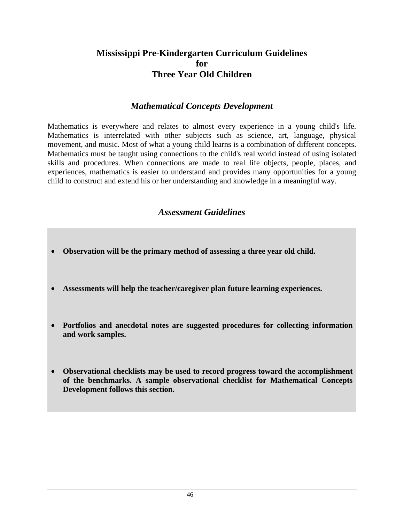# **Mississippi Pre-Kindergarten Curriculum Guidelines for Three Year Old Children**

# *Mathematical Concepts Development*

Mathematics is everywhere and relates to almost every experience in a young child's life. Mathematics is interrelated with other subjects such as science, art, language, physical movement, and music. Most of what a young child learns is a combination of different concepts. Mathematics must be taught using connections to the child's real world instead of using isolated skills and procedures. When connections are made to real life objects, people, places, and experiences, mathematics is easier to understand and provides many opportunities for a young child to construct and extend his or her understanding and knowledge in a meaningful way.

## *Assessment Guidelines*

- **Observation will be the primary method of assessing a three year old child.**
- **Assessments will help the teacher/caregiver plan future learning experiences.**
- **Portfolios and anecdotal notes are suggested procedures for collecting information and work samples.**
- **Observational checklists may be used to record progress toward the accomplishment of the benchmarks. A sample observational checklist for Mathematical Concepts Development follows this section.**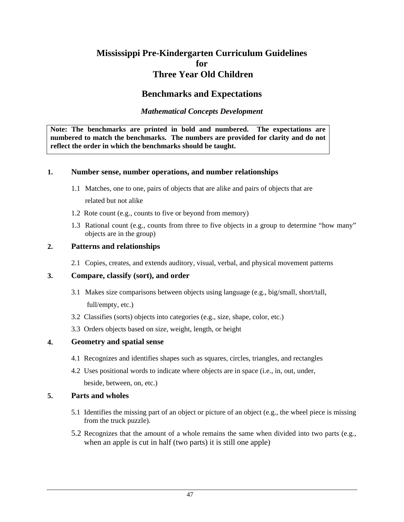# **Mississippi Pre-Kindergarten Curriculum Guidelines for Three Year Old Children**

# **Benchmarks and Expectations**

#### *Mathematical Concepts Development*

**Note: The benchmarks are printed in bold and numbered. The expectations are numbered to match the benchmarks. The numbers are provided for clarity and do not reflect the order in which the benchmarks should be taught.**

#### **1. Number sense, number operations, and number relationships**

- 1.1 Matches, one to one, pairs of objects that are alike and pairs of objects that are related but not alike
- 1.2 Rote count (e.g., counts to five or beyond from memory)
- 1.3 Rational count (e.g., counts from three to five objects in a group to determine "how many" objects are in the group)

#### **2. Patterns and relationships**

2.1 Copies, creates, and extends auditory, visual, verbal, and physical movement patterns

#### **3. Compare, classify (sort), and order**

- 3.1 Makes size comparisons between objects using language (e.g., big/small, short/tall, full/empty, etc.)
- 3.2 Classifies (sorts) objects into categories (e.g., size, shape, color, etc.)
- 3.3 Orders objects based on size, weight, length, or height

#### **4. Geometry and spatial sense**

- 4.1 Recognizes and identifies shapes such as squares, circles, triangles, and rectangles
- 4.2 Uses positional words to indicate where objects are in space (i.e., in, out, under, beside, between, on, etc.)

#### **5. Parts and wholes**

- 5.1 Identifies the missing part of an object or picture of an object (e.g., the wheel piece is missing from the truck puzzle).
- 5.2 Recognizes that the amount of a whole remains the same when divided into two parts (e.g., when an apple is cut in half (two parts) it is still one apple)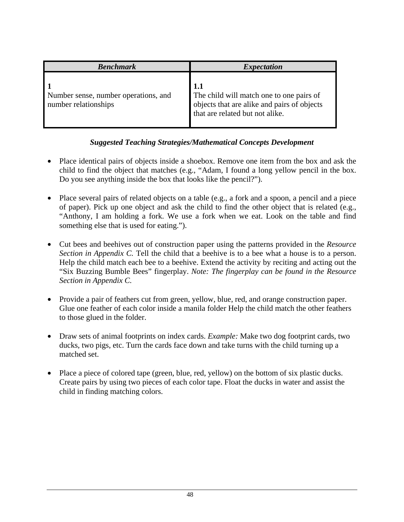| <b>Benchmark</b>                                             | <i>Expectation</i>                                                                                                                |
|--------------------------------------------------------------|-----------------------------------------------------------------------------------------------------------------------------------|
| Number sense, number operations, and<br>number relationships | 1.1<br>The child will match one to one pairs of<br>objects that are alike and pairs of objects<br>that are related but not alike. |

- Place identical pairs of objects inside a shoebox. Remove one item from the box and ask the child to find the object that matches (e.g., "Adam, I found a long yellow pencil in the box. Do you see anything inside the box that looks like the pencil?").
- Place several pairs of related objects on a table (e.g., a fork and a spoon, a pencil and a piece of paper). Pick up one object and ask the child to find the other object that is related (e.g., "Anthony, I am holding a fork. We use a fork when we eat. Look on the table and find something else that is used for eating.").
- Cut bees and beehives out of construction paper using the patterns provided in the *Resource Section in Appendix C.* Tell the child that a beehive is to a bee what a house is to a person. Help the child match each bee to a beehive. Extend the activity by reciting and acting out the "Six Buzzing Bumble Bees" fingerplay. *Note: The fingerplay can be found in the Resource Section in Appendix C.*
- Provide a pair of feathers cut from green, yellow, blue, red, and orange construction paper. Glue one feather of each color inside a manila folder Help the child match the other feathers to those glued in the folder.
- Draw sets of animal footprints on index cards. *Example:* Make two dog footprint cards, two ducks, two pigs, etc. Turn the cards face down and take turns with the child turning up a matched set.
- Place a piece of colored tape (green, blue, red, yellow) on the bottom of six plastic ducks. Create pairs by using two pieces of each color tape. Float the ducks in water and assist the child in finding matching colors.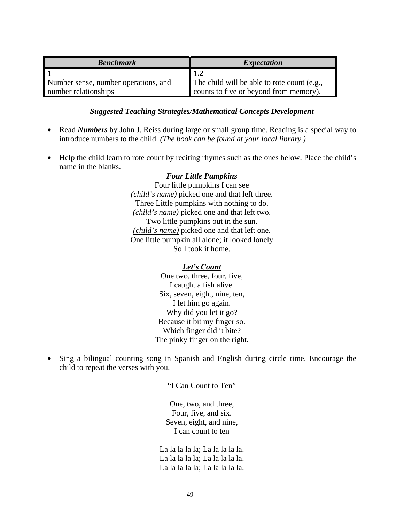| <b>Benchmark</b>                     | <i>Expectation</i>                          |
|--------------------------------------|---------------------------------------------|
|                                      | 1.2                                         |
| Number sense, number operations, and | The child will be able to rote count (e.g., |
| number relationships                 | counts to five or beyond from memory).      |

- Read *Numbers* by John J. Reiss during large or small group time. Reading is a special way to introduce numbers to the child. *(The book can be found at your local library.)*
- Help the child learn to rote count by reciting rhymes such as the ones below. Place the child's name in the blanks.

### *Four Little Pumpkins*

Four little pumpkins I can see *(child's name)* picked one and that left three. Three Little pumpkins with nothing to do. *(child's name)* picked one and that left two. Two little pumpkins out in the sun. *(child's name)* picked one and that left one. One little pumpkin all alone; it looked lonely So I took it home.

#### *Let's Count*

One two, three, four, five, I caught a fish alive. Six, seven, eight, nine, ten, I let him go again. Why did you let it go? Because it bit my finger so. Which finger did it bite? The pinky finger on the right.

• Sing a bilingual counting song in Spanish and English during circle time. Encourage the child to repeat the verses with you.

"I Can Count to Ten"

One, two, and three, Four, five, and six. Seven, eight, and nine, I can count to ten

La la la la la; La la la la la. La la la la la; La la la la la. La la la la la; La la la la la.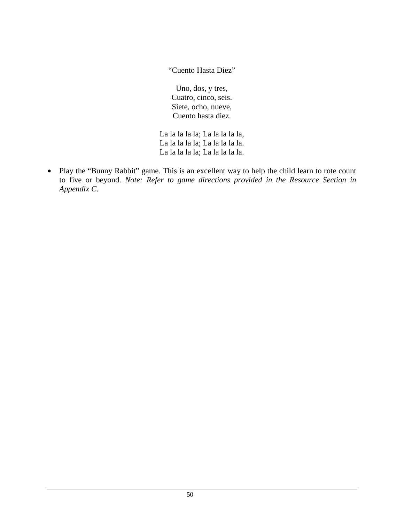"Cuento Hasta Diez"

Uno, dos, y tres, Cuatro, cinco, seis. Siete, ocho, nueve, Cuento hasta diez.

La la la la la; La la la la la, La la la la la; La la la la la. La la la la la; La la la la la.

• Play the "Bunny Rabbit" game. This is an excellent way to help the child learn to rote count to five or beyond. *Note: Refer to game directions provided in the Resource Section in Appendix C*.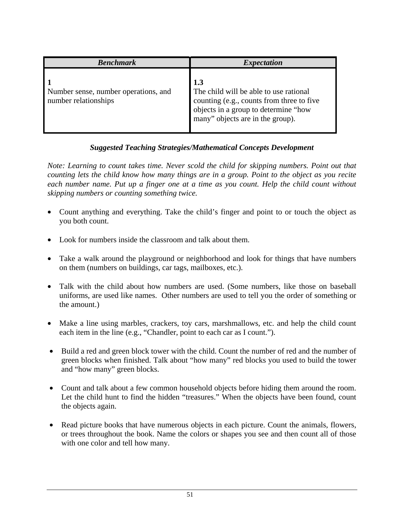| <b>Benchmark</b>                                             | <i>Expectation</i>                                                                                                                                                     |
|--------------------------------------------------------------|------------------------------------------------------------------------------------------------------------------------------------------------------------------------|
| Number sense, number operations, and<br>number relationships | 1.3<br>The child will be able to use rational<br>counting (e.g., counts from three to five<br>objects in a group to determine "how<br>many" objects are in the group). |

*Note: Learning to count takes time. Never scold the child for skipping numbers. Point out that counting lets the child know how many things are in a group. Point to the object as you recite each number name. Put up a finger one at a time as you count. Help the child count without skipping numbers or counting something twice.* 

- Count anything and everything. Take the child's finger and point to or touch the object as you both count.
- Look for numbers inside the classroom and talk about them.
- Take a walk around the playground or neighborhood and look for things that have numbers on them (numbers on buildings, car tags, mailboxes, etc.).
- Talk with the child about how numbers are used. (Some numbers, like those on baseball uniforms, are used like names. Other numbers are used to tell you the order of something or the amount.)
- Make a line using marbles, crackers, toy cars, marshmallows, etc. and help the child count each item in the line (e.g., "Chandler, point to each car as I count.").
- Build a red and green block tower with the child. Count the number of red and the number of green blocks when finished. Talk about "how many" red blocks you used to build the tower and "how many" green blocks.
- Count and talk about a few common household objects before hiding them around the room. Let the child hunt to find the hidden "treasures." When the objects have been found, count the objects again.
- Read picture books that have numerous objects in each picture. Count the animals, flowers, or trees throughout the book. Name the colors or shapes you see and then count all of those with one color and tell how many.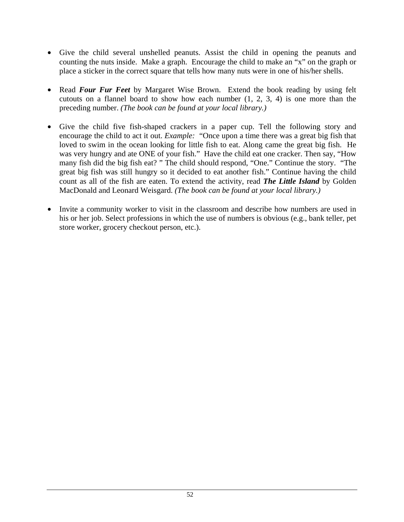- Give the child several unshelled peanuts. Assist the child in opening the peanuts and counting the nuts inside. Make a graph. Encourage the child to make an "x" on the graph or place a sticker in the correct square that tells how many nuts were in one of his/her shells.
- Read *Four Fur Feet* by Margaret Wise Brown. Extend the book reading by using felt cutouts on a flannel board to show how each number  $(1, 2, 3, 4)$  is one more than the preceding number. *(The book can be found at your local library.)*
- Give the child five fish-shaped crackers in a paper cup. Tell the following story and encourage the child to act it out. *Example:* "Once upon a time there was a great big fish that loved to swim in the ocean looking for little fish to eat. Along came the great big fish. He was very hungry and ate ONE of your fish." Have the child eat one cracker. Then say, "How many fish did the big fish eat? " The child should respond, "One." Continue the story. "The great big fish was still hungry so it decided to eat another fish." Continue having the child count as all of the fish are eaten. To extend the activity, read *The Little Island* by Golden MacDonald and Leonard Weisgard. *(The book can be found at your local library.)*
- Invite a community worker to visit in the classroom and describe how numbers are used in his or her job. Select professions in which the use of numbers is obvious (e.g., bank teller, pet store worker, grocery checkout person, etc.).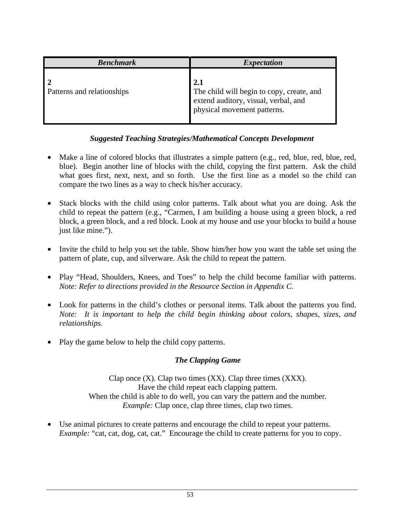| <b>Benchmark</b>           | <b>Expectation</b>                                                                                                      |
|----------------------------|-------------------------------------------------------------------------------------------------------------------------|
| Patterns and relationships | 2.1<br>The child will begin to copy, create, and<br>extend auditory, visual, verbal, and<br>physical movement patterns. |

- Make a line of colored blocks that illustrates a simple pattern (e.g., red, blue, red, blue, red, blue). Begin another line of blocks with the child, copying the first pattern. Ask the child what goes first, next, next, and so forth. Use the first line as a model so the child can compare the two lines as a way to check his/her accuracy.
- Stack blocks with the child using color patterns. Talk about what you are doing. Ask the child to repeat the pattern (e.g., "Carmen, I am building a house using a green block, a red block, a green block, and a red block. Look at my house and use your blocks to build a house just like mine.").
- Invite the child to help you set the table. Show him/her how you want the table set using the pattern of plate, cup, and silverware. Ask the child to repeat the pattern.
- Play "Head, Shoulders, Knees, and Toes" to help the child become familiar with patterns. *Note: Refer to directions provided in the Resource Section in Appendix C.*
- Look for patterns in the child's clothes or personal items. Talk about the patterns you find. *Note: It is important to help the child begin thinking about colors, shapes, sizes, and relationships.*
- Play the game below to help the child copy patterns.

### *The Clapping Game*

Clap once  $(X)$ . Clap two times  $(XX)$ . Clap three times  $(XXX)$ . Have the child repeat each clapping pattern. When the child is able to do well, you can vary the pattern and the number. *Example:* Clap once, clap three times, clap two times.

• Use animal pictures to create patterns and encourage the child to repeat your patterns. *Example:* "cat, cat, dog, cat, cat." Encourage the child to create patterns for you to copy.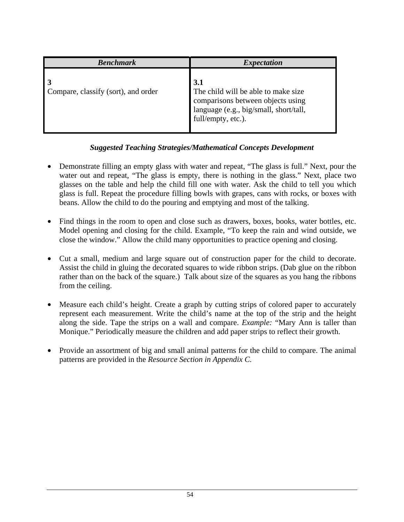| <b>Benchmark</b>                    | <i>Expectation</i>                                                                                                                              |
|-------------------------------------|-------------------------------------------------------------------------------------------------------------------------------------------------|
| Compare, classify (sort), and order | 3.1<br>The child will be able to make size<br>comparisons between objects using<br>language (e.g., big/small, short/tall,<br>full/empty, etc.). |

- Demonstrate filling an empty glass with water and repeat, "The glass is full." Next, pour the water out and repeat, "The glass is empty, there is nothing in the glass." Next, place two glasses on the table and help the child fill one with water. Ask the child to tell you which glass is full. Repeat the procedure filling bowls with grapes, cans with rocks, or boxes with beans. Allow the child to do the pouring and emptying and most of the talking.
- Find things in the room to open and close such as drawers, boxes, books, water bottles, etc. Model opening and closing for the child. Example, "To keep the rain and wind outside, we close the window." Allow the child many opportunities to practice opening and closing.
- Cut a small, medium and large square out of construction paper for the child to decorate. Assist the child in gluing the decorated squares to wide ribbon strips. (Dab glue on the ribbon rather than on the back of the square.) Talk about size of the squares as you hang the ribbons from the ceiling.
- Measure each child's height. Create a graph by cutting strips of colored paper to accurately represent each measurement. Write the child's name at the top of the strip and the height along the side. Tape the strips on a wall and compare. *Example:* "Mary Ann is taller than Monique." Periodically measure the children and add paper strips to reflect their growth.
- Provide an assortment of big and small animal patterns for the child to compare. The animal patterns are provided in the *Resource Section in Appendix C.*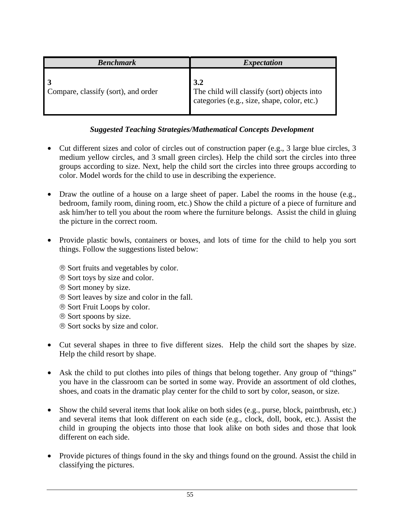| <b>Benchmark</b>                    | <i>Expectation</i>                                                                                |
|-------------------------------------|---------------------------------------------------------------------------------------------------|
| Compare, classify (sort), and order | 3.2<br>The child will classify (sort) objects into<br>categories (e.g., size, shape, color, etc.) |

- Cut different sizes and color of circles out of construction paper (e.g., 3 large blue circles, 3 medium yellow circles, and 3 small green circles). Help the child sort the circles into three groups according to size. Next, help the child sort the circles into three groups according to color. Model words for the child to use in describing the experience.
- Draw the outline of a house on a large sheet of paper. Label the rooms in the house (e.g., bedroom, family room, dining room, etc.) Show the child a picture of a piece of furniture and ask him/her to tell you about the room where the furniture belongs. Assist the child in gluing the picture in the correct room.
- Provide plastic bowls, containers or boxes, and lots of time for the child to help you sort things. Follow the suggestions listed below:
	- ® Sort fruits and vegetables by color.
	- ® Sort toys by size and color.
	- ® Sort money by size.
	- ® Sort leaves by size and color in the fall.
	- ® Sort Fruit Loops by color.
	- ® Sort spoons by size.
	- ® Sort socks by size and color.
- Cut several shapes in three to five different sizes. Help the child sort the shapes by size. Help the child resort by shape.
- Ask the child to put clothes into piles of things that belong together. Any group of "things" you have in the classroom can be sorted in some way. Provide an assortment of old clothes, shoes, and coats in the dramatic play center for the child to sort by color, season, or size.
- Show the child several items that look alike on both sides (e.g., purse, block, paintbrush, etc.) and several items that look different on each side (e.g., clock, doll, book, etc.). Assist the child in grouping the objects into those that look alike on both sides and those that look different on each side.
- Provide pictures of things found in the sky and things found on the ground. Assist the child in classifying the pictures.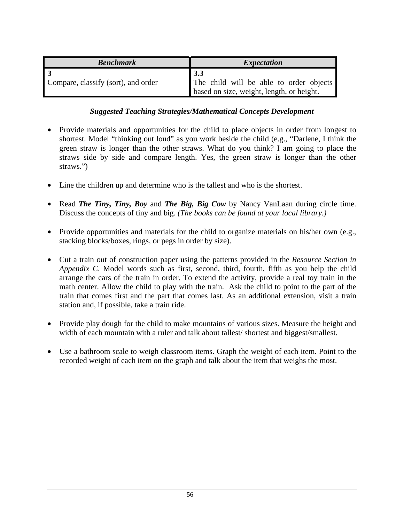| <b>Benchmark</b>                    | <i>Expectation</i>                                                                          |
|-------------------------------------|---------------------------------------------------------------------------------------------|
| Compare, classify (sort), and order | 3.3<br>The child will be able to order objects<br>based on size, weight, length, or height. |

- Provide materials and opportunities for the child to place objects in order from longest to shortest. Model "thinking out loud" as you work beside the child (e.g., "Darlene, I think the green straw is longer than the other straws. What do you think? I am going to place the straws side by side and compare length. Yes, the green straw is longer than the other straws.")
- Line the children up and determine who is the tallest and who is the shortest.
- Read *The Tiny, Tiny, Boy* and *The Big, Big Cow* by Nancy VanLaan during circle time. Discuss the concepts of tiny and big. *(The books can be found at your local library.)*
- Provide opportunities and materials for the child to organize materials on his/her own (e.g., stacking blocks/boxes, rings, or pegs in order by size).
- Cut a train out of construction paper using the patterns provided in the *Resource Section in Appendix C*. Model words such as first, second, third, fourth, fifth as you help the child arrange the cars of the train in order. To extend the activity, provide a real toy train in the math center. Allow the child to play with the train. Ask the child to point to the part of the train that comes first and the part that comes last. As an additional extension, visit a train station and, if possible, take a train ride.
- Provide play dough for the child to make mountains of various sizes. Measure the height and width of each mountain with a ruler and talk about tallest/ shortest and biggest/smallest.
- Use a bathroom scale to weigh classroom items. Graph the weight of each item. Point to the recorded weight of each item on the graph and talk about the item that weighs the most.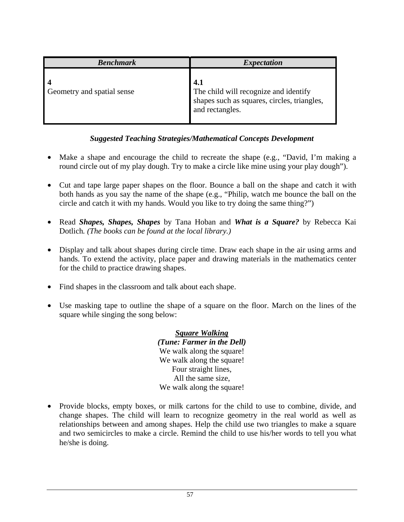| <b>Benchmark</b>           | <i><b>Expectation</b></i>                                                                                      |
|----------------------------|----------------------------------------------------------------------------------------------------------------|
| Geometry and spatial sense | 4.1<br>The child will recognize and identify<br>shapes such as squares, circles, triangles,<br>and rectangles. |

- Make a shape and encourage the child to recreate the shape (e.g., "David, I'm making a round circle out of my play dough. Try to make a circle like mine using your play dough").
- Cut and tape large paper shapes on the floor. Bounce a ball on the shape and catch it with both hands as you say the name of the shape (e.g., "Philip, watch me bounce the ball on the circle and catch it with my hands. Would you like to try doing the same thing?")
- Read *Shapes, Shapes, Shapes* by Tana Hoban and *What is a Square?* by Rebecca Kai Dotlich*. (The books can be found at the local library.)*
- Display and talk about shapes during circle time. Draw each shape in the air using arms and hands. To extend the activity, place paper and drawing materials in the mathematics center for the child to practice drawing shapes.
- Find shapes in the classroom and talk about each shape.
- Use masking tape to outline the shape of a square on the floor. March on the lines of the square while singing the song below:

*Square Walking (Tune: Farmer in the Dell)*  We walk along the square! We walk along the square! Four straight lines, All the same size, We walk along the square!

• Provide blocks, empty boxes, or milk cartons for the child to use to combine, divide, and change shapes. The child will learn to recognize geometry in the real world as well as relationships between and among shapes. Help the child use two triangles to make a square and two semicircles to make a circle. Remind the child to use his/her words to tell you what he/she is doing.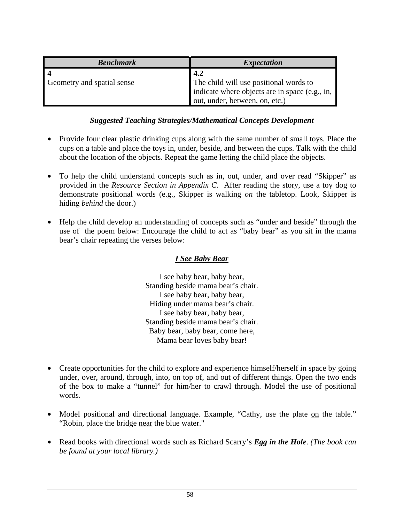| <b>Benchmark</b>           | <i>Expectation</i>                             |
|----------------------------|------------------------------------------------|
|                            | 4.2                                            |
| Geometry and spatial sense | The child will use positional words to         |
|                            | indicate where objects are in space (e.g., in, |
|                            | out, under, between, on, etc.)                 |

### *Suggested Teaching Strategies/Mathematical Concepts Development*

- Provide four clear plastic drinking cups along with the same number of small toys. Place the cups on a table and place the toys in, under, beside, and between the cups. Talk with the child about the location of the objects. Repeat the game letting the child place the objects.
- To help the child understand concepts such as in, out, under, and over read "Skipper" as provided in the *Resource Section in Appendix C.* After reading the story, use a toy dog to demonstrate positional words (e.g., Skipper is walking *on* the tabletop. Look, Skipper is hiding *behind* the door.)
- Help the child develop an understanding of concepts such as "under and beside" through the use of the poem below: Encourage the child to act as "baby bear" as you sit in the mama bear's chair repeating the verses below:

## *I See Baby Bear*

I see baby bear, baby bear, Standing beside mama bear's chair. I see baby bear, baby bear, Hiding under mama bear's chair. I see baby bear, baby bear, Standing beside mama bear's chair. Baby bear, baby bear, come here, Mama bear loves baby bear!

- Create opportunities for the child to explore and experience himself/herself in space by going under, over, around, through, into, on top of, and out of different things. Open the two ends of the box to make a "tunnel" for him/her to crawl through. Model the use of positional words.
- Model positional and directional language. Example, "Cathy, use the plate on the table." "Robin, place the bridge near the blue water."
- Read books with directional words such as Richard Scarry's *Egg in the Hole*. *(The book can be found at your local library.)*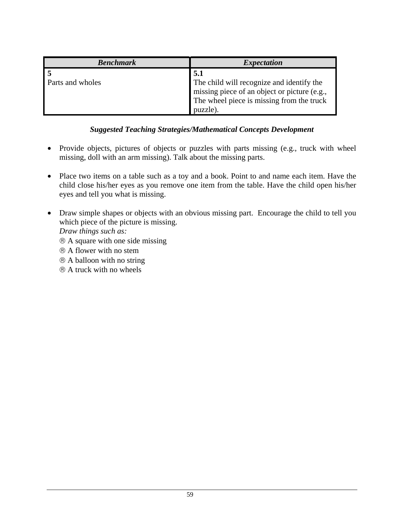| <b>Benchmark</b> | <b>Expectation</b>                                                                        |
|------------------|-------------------------------------------------------------------------------------------|
|                  | 5.1                                                                                       |
| Parts and wholes | The child will recognize and identify the                                                 |
|                  | missing piece of an object or picture (e.g.,<br>The wheel piece is missing from the truck |
|                  |                                                                                           |
|                  | puzzle).                                                                                  |

### *Suggested Teaching Strategies/Mathematical Concepts Development*

- Provide objects, pictures of objects or puzzles with parts missing (e.g., truck with wheel missing, doll with an arm missing). Talk about the missing parts.
- Place two items on a table such as a toy and a book. Point to and name each item. Have the child close his/her eyes as you remove one item from the table. Have the child open his/her eyes and tell you what is missing.
- Draw simple shapes or objects with an obvious missing part. Encourage the child to tell you which piece of the picture is missing.

*Draw things such as:*

- ® A square with one side missing
- ® A flower with no stem
- ® A balloon with no string
- ® A truck with no wheels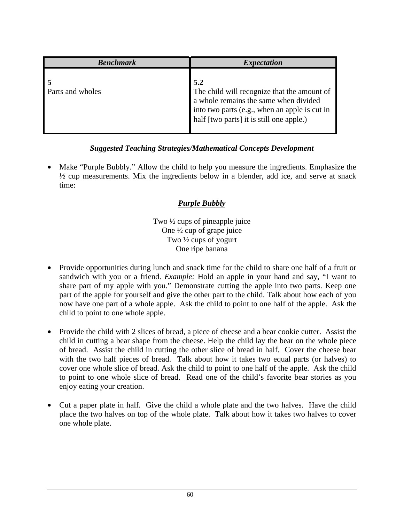| <b>Benchmark</b>        | <i>Expectation</i>                                                                                                                                                                       |
|-------------------------|------------------------------------------------------------------------------------------------------------------------------------------------------------------------------------------|
| <b>Parts and wholes</b> | 5.2<br>The child will recognize that the amount of<br>a whole remains the same when divided<br>into two parts (e.g., when an apple is cut in<br>half [two parts] it is still one apple.) |

## *Suggested Teaching Strategies/Mathematical Concepts Development*

• Make "Purple Bubbly." Allow the child to help you measure the ingredients. Emphasize the  $\frac{1}{2}$  cup measurements. Mix the ingredients below in a blender, add ice, and serve at snack time:

# *Purple Bubbly*

Two ½ cups of pineapple juice One ½ cup of grape juice Two ½ cups of yogurt One ripe banana

- Provide opportunities during lunch and snack time for the child to share one half of a fruit or sandwich with you or a friend. *Example:* Hold an apple in your hand and say, "I want to share part of my apple with you." Demonstrate cutting the apple into two parts. Keep one part of the apple for yourself and give the other part to the child. Talk about how each of you now have one part of a whole apple. Ask the child to point to one half of the apple. Ask the child to point to one whole apple.
- Provide the child with 2 slices of bread, a piece of cheese and a bear cookie cutter. Assist the child in cutting a bear shape from the cheese. Help the child lay the bear on the whole piece of bread. Assist the child in cutting the other slice of bread in half. Cover the cheese bear with the two half pieces of bread. Talk about how it takes two equal parts (or halves) to cover one whole slice of bread. Ask the child to point to one half of the apple. Ask the child to point to one whole slice of bread. Read one of the child's favorite bear stories as you enjoy eating your creation.
- Cut a paper plate in half. Give the child a whole plate and the two halves. Have the child place the two halves on top of the whole plate. Talk about how it takes two halves to cover one whole plate.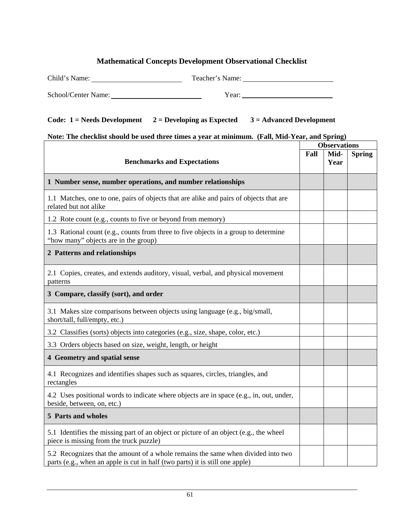### **Mathematical Concepts Development Observational Checklist**

| Child's Name:       | Teacher's Name: |
|---------------------|-----------------|
|                     |                 |
| School/Center Name: | Year:           |

### Code: 1 = Needs Development 2 = Developing as Expected 3 = Advanced Development

## **Note: The checklist should be used three times a year at minimum. (Fall, Mid-Year, and Spring)**

|                                                                                                                                                                  |      | <b>Observations</b> |               |  |
|------------------------------------------------------------------------------------------------------------------------------------------------------------------|------|---------------------|---------------|--|
| <b>Benchmarks and Expectations</b>                                                                                                                               | Fall | Mid-<br>Year        | <b>Spring</b> |  |
| 1 Number sense, number operations, and number relationships                                                                                                      |      |                     |               |  |
| 1.1 Matches, one to one, pairs of objects that are alike and pairs of objects that are<br>related but not alike                                                  |      |                     |               |  |
| 1.2 Rote count (e.g., counts to five or beyond from memory)                                                                                                      |      |                     |               |  |
| 1.3 Rational count (e.g., counts from three to five objects in a group to determine<br>"how many" objects are in the group)                                      |      |                     |               |  |
| 2 Patterns and relationships                                                                                                                                     |      |                     |               |  |
| 2.1 Copies, creates, and extends auditory, visual, verbal, and physical movement<br>patterns                                                                     |      |                     |               |  |
| 3 Compare, classify (sort), and order                                                                                                                            |      |                     |               |  |
| 3.1 Makes size comparisons between objects using language (e.g., big/small,<br>short/tall, full/empty, etc.)                                                     |      |                     |               |  |
| 3.2 Classifies (sorts) objects into categories (e.g., size, shape, color, etc.)                                                                                  |      |                     |               |  |
| 3.3 Orders objects based on size, weight, length, or height                                                                                                      |      |                     |               |  |
| 4 Geometry and spatial sense                                                                                                                                     |      |                     |               |  |
| 4.1 Recognizes and identifies shapes such as squares, circles, triangles, and<br>rectangles                                                                      |      |                     |               |  |
| 4.2 Uses positional words to indicate where objects are in space (e.g., in, out, under,<br>beside, between, on, etc.)                                            |      |                     |               |  |
| 5 Parts and wholes                                                                                                                                               |      |                     |               |  |
| 5.1 Identifies the missing part of an object or picture of an object (e.g., the wheel<br>piece is missing from the truck puzzle)                                 |      |                     |               |  |
| 5.2 Recognizes that the amount of a whole remains the same when divided into two<br>parts (e.g., when an apple is cut in half (two parts) it is still one apple) |      |                     |               |  |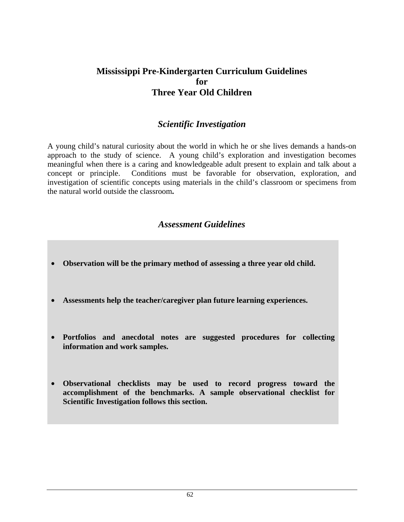# **Mississippi Pre-Kindergarten Curriculum Guidelines for Three Year Old Children**

## *Scientific Investigation*

A young child's natural curiosity about the world in which he or she lives demands a hands-on approach to the study of science. A young child's exploration and investigation becomes meaningful when there is a caring and knowledgeable adult present to explain and talk about a concept or principle. Conditions must be favorable for observation, exploration, and investigation of scientific concepts using materials in the child's classroom or specimens from the natural world outside the classroom**.** 

## *Assessment Guidelines*

- **Observation will be the primary method of assessing a three year old child.**
- **Assessments help the teacher/caregiver plan future learning experiences.**
- **Portfolios and anecdotal notes are suggested procedures for collecting information and work samples.**
- **Observational checklists may be used to record progress toward the accomplishment of the benchmarks. A sample observational checklist for Scientific Investigation follows this section.**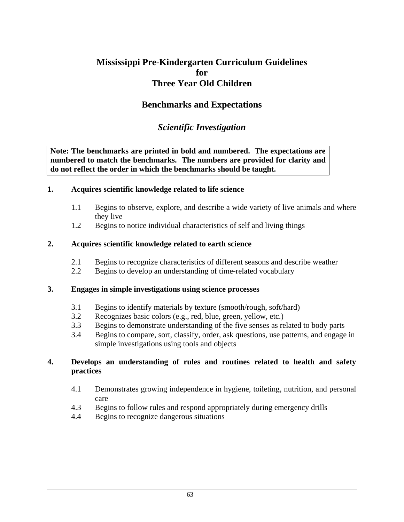# **Mississippi Pre-Kindergarten Curriculum Guidelines for Three Year Old Children**

# **Benchmarks and Expectations**

## *Scientific Investigation*

**Note: The benchmarks are printed in bold and numbered. The expectations are numbered to match the benchmarks. The numbers are provided for clarity and do not reflect the order in which the benchmarks should be taught.**

### **1. Acquires scientific knowledge related to life science**

- 1.1 Begins to observe, explore, and describe a wide variety of live animals and where they live
- 1.2 Begins to notice individual characteristics of self and living things

### **2. Acquires scientific knowledge related to earth science**

- 2.1 Begins to recognize characteristics of different seasons and describe weather
- 2.2 Begins to develop an understanding of time-related vocabulary

#### **3. Engages in simple investigations using science processes**

- 3.1 Begins to identify materials by texture (smooth/rough, soft/hard)
- 3.2 Recognizes basic colors (e.g., red, blue, green, yellow, etc.)
- 3.3 Begins to demonstrate understanding of the five senses as related to body parts
- 3.4 Begins to compare, sort, classify, order, ask questions, use patterns, and engage in simple investigations using tools and objects

### **4. Develops an understanding of rules and routines related to health and safety practices**

- 4.1 Demonstrates growing independence in hygiene, toileting, nutrition, and personal care
- 4.3 Begins to follow rules and respond appropriately during emergency drills
- 4.4 Begins to recognize dangerous situations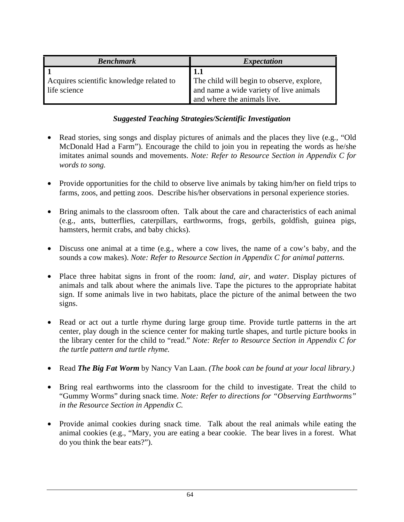| <b>Benchmark</b>                                         | <i>Expectation</i>                                                                                                         |
|----------------------------------------------------------|----------------------------------------------------------------------------------------------------------------------------|
| Acquires scientific knowledge related to<br>life science | 1.1<br>The child will begin to observe, explore,<br>and name a wide variety of live animals<br>and where the animals live. |

- Read stories, sing songs and display pictures of animals and the places they live (e.g*.,* "Old McDonald Had a Farm"). Encourage the child to join you in repeating the words as he/she imitates animal sounds and movements. *Note: Refer to Resource Section in Appendix C for words to song.*
- Provide opportunities for the child to observe live animals by taking him/her on field trips to farms, zoos, and petting zoos. Describe his/her observations in personal experience stories.
- Bring animals to the classroom often. Talk about the care and characteristics of each animal (e.g., ants, butterflies, caterpillars, earthworms, frogs, gerbils, goldfish, guinea pigs, hamsters, hermit crabs, and baby chicks).
- Discuss one animal at a time (e.g., where a cow lives, the name of a cow's baby, and the sounds a cow makes). *Note: Refer to Resource Section in Appendix C for animal patterns.*
- Place three habitat signs in front of the room: *land, air,* and *water*. Display pictures of animals and talk about where the animals live. Tape the pictures to the appropriate habitat sign. If some animals live in two habitats, place the picture of the animal between the two signs.
- Read or act out a turtle rhyme during large group time. Provide turtle patterns in the art center, play dough in the science center for making turtle shapes, and turtle picture books in the library center for the child to "read." *Note: Refer to Resource Section in Appendix C for the turtle pattern and turtle rhyme.*
- Read *The Big Fat Worm* by Nancy Van Laan. *(The book can be found at your local library.)*
- Bring real earthworms into the classroom for the child to investigate. Treat the child to "Gummy Worms" during snack time. *Note: Refer to directions for "Observing Earthworms" in the Resource Section in Appendix C.*
- Provide animal cookies during snack time. Talk about the real animals while eating the animal cookies (e.g., "Mary, you are eating a bear cookie. The bear lives in a forest. What do you think the bear eats?").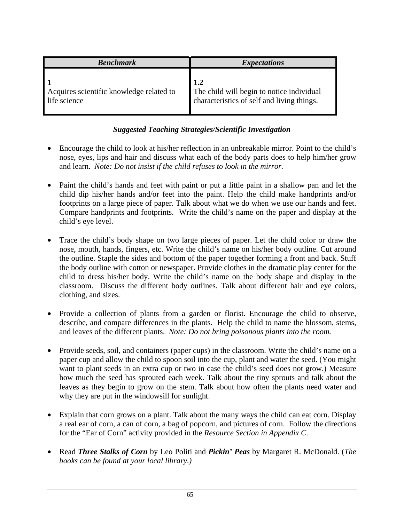| <b>Benchmark</b>                         | <b>Expectations</b>                                                                     |
|------------------------------------------|-----------------------------------------------------------------------------------------|
| Acquires scientific knowledge related to | 1.2                                                                                     |
| life science                             | The child will begin to notice individual<br>characteristics of self and living things. |

- Encourage the child to look at his/her reflection in an unbreakable mirror. Point to the child's nose, eyes, lips and hair and discuss what each of the body parts does to help him/her grow and learn. *Note: Do not insist if the child refuses to look in the mirror.*
- Paint the child's hands and feet with paint or put a little paint in a shallow pan and let the child dip his/her hands and/or feet into the paint. Help the child make handprints and/or footprints on a large piece of paper. Talk about what we do when we use our hands and feet. Compare handprints and footprints. Write the child's name on the paper and display at the child's eye level.
- Trace the child's body shape on two large pieces of paper. Let the child color or draw the nose, mouth, hands, fingers, etc. Write the child's name on his/her body outline. Cut around the outline. Staple the sides and bottom of the paper together forming a front and back. Stuff the body outline with cotton or newspaper. Provide clothes in the dramatic play center for the child to dress his/her body. Write the child's name on the body shape and display in the classroom. Discuss the different body outlines. Talk about different hair and eye colors, clothing, and sizes.
- Provide a collection of plants from a garden or florist. Encourage the child to observe, describe, and compare differences in the plants. Help the child to name the blossom, stems, and leaves of the different plants. *Note: Do not bring poisonous plants into the room.*
- Provide seeds, soil, and containers (paper cups) in the classroom. Write the child's name on a paper cup and allow the child to spoon soil into the cup, plant and water the seed. (You might want to plant seeds in an extra cup or two in case the child's seed does not grow.) Measure how much the seed has sprouted each week. Talk about the tiny sprouts and talk about the leaves as they begin to grow on the stem. Talk about how often the plants need water and why they are put in the windowsill for sunlight.
- Explain that corn grows on a plant. Talk about the many ways the child can eat corn. Display a real ear of corn, a can of corn, a bag of popcorn, and pictures of corn. Follow the directions for the "Ear of Corn" activity provided in the *Resource Section in Appendix C*.
- Read *Three Stalks of Corn* by Leo Politi and *Pickin' Peas* by Margaret R. McDonald. (*The books can be found at your local library.)*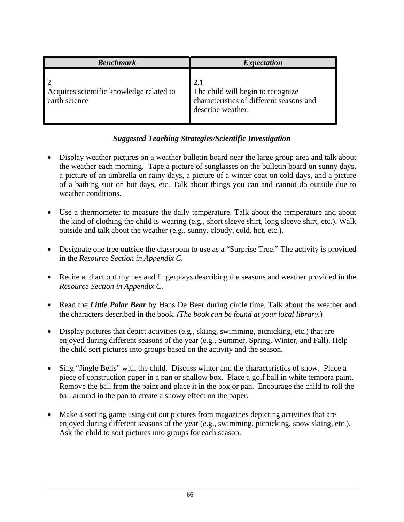| <b>Benchmark</b>                                          | <i>Expectation</i>                                                                                        |
|-----------------------------------------------------------|-----------------------------------------------------------------------------------------------------------|
| Acquires scientific knowledge related to<br>earth science | 2.1<br>The child will begin to recognize<br>characteristics of different seasons and<br>describe weather. |

- Display weather pictures on a weather bulletin board near the large group area and talk about the weather each morning. Tape a picture of sunglasses on the bulletin board on sunny days, a picture of an umbrella on rainy days, a picture of a winter coat on cold days, and a picture of a bathing suit on hot days, etc. Talk about things you can and cannot do outside due to weather conditions.
- Use a thermometer to measure the daily temperature. Talk about the temperature and about the kind of clothing the child is wearing (e.g., short sleeve shirt, long sleeve shirt, etc.). Walk outside and talk about the weather (e.g., sunny, cloudy, cold, hot, etc.).
- Designate one tree outside the classroom to use as a "Surprise Tree." The activity is provided in the *Resource Section in Appendix C.*
- Recite and act out rhymes and fingerplays describing the seasons and weather provided in the *Resource Section in Appendix C.*
- Read the *Little Polar Bear* by Hans De Beer during circle time. Talk about the weather and the characters described in the book. *(The book can be found at your local library.*)
- Display pictures that depict activities (e.g., skiing, swimming, picnicking, etc.) that are enjoyed during different seasons of the year (e.g., Summer, Spring, Winter, and Fall). Help the child sort pictures into groups based on the activity and the season.
- Sing "Jingle Bells" with the child. Discuss winter and the characteristics of snow. Place a piece of construction paper in a pan or shallow box. Place a golf ball in white tempera paint. Remove the ball from the paint and place it in the box or pan. Encourage the child to roll the ball around in the pan to create a snowy effect on the paper.
- Make a sorting game using cut out pictures from magazines depicting activities that are enjoyed during different seasons of the year (e.g., swimming, picnicking, snow skiing, etc.). Ask the child to sort pictures into groups for each season.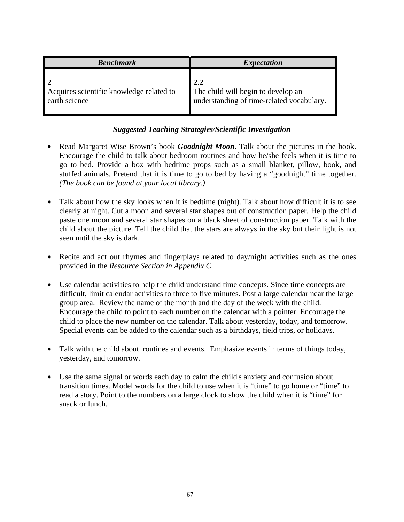| <b>Benchmark</b>                                          | <i>Expectation</i>                                                                     |
|-----------------------------------------------------------|----------------------------------------------------------------------------------------|
| Acquires scientific knowledge related to<br>earth science | 2.2<br>The child will begin to develop an<br>understanding of time-related vocabulary. |

- Read Margaret Wise Brown's book *Goodnight Moon*. Talk about the pictures in the book. Encourage the child to talk about bedroom routines and how he/she feels when it is time to go to bed. Provide a box with bedtime props such as a small blanket, pillow, book, and stuffed animals. Pretend that it is time to go to bed by having a "goodnight" time together. *(The book can be found at your local library.)*
- Talk about how the sky looks when it is bedtime (night). Talk about how difficult it is to see clearly at night. Cut a moon and several star shapes out of construction paper. Help the child paste one moon and several star shapes on a black sheet of construction paper. Talk with the child about the picture. Tell the child that the stars are always in the sky but their light is not seen until the sky is dark.
- Recite and act out rhymes and fingerplays related to day/night activities such as the ones provided in the *Resource Section in Appendix C.*
- Use calendar activities to help the child understand time concepts. Since time concepts are difficult, limit calendar activities to three to five minutes. Post a large calendar near the large group area. Review the name of the month and the day of the week with the child. Encourage the child to point to each number on the calendar with a pointer. Encourage the child to place the new number on the calendar. Talk about yesterday, today, and tomorrow. Special events can be added to the calendar such as a birthdays, field trips, or holidays.
- Talk with the child about routines and events. Emphasize events in terms of things today, yesterday, and tomorrow.
- Use the same signal or words each day to calm the child's anxiety and confusion about transition times. Model words for the child to use when it is "time" to go home or "time" to read a story. Point to the numbers on a large clock to show the child when it is "time" for snack or lunch.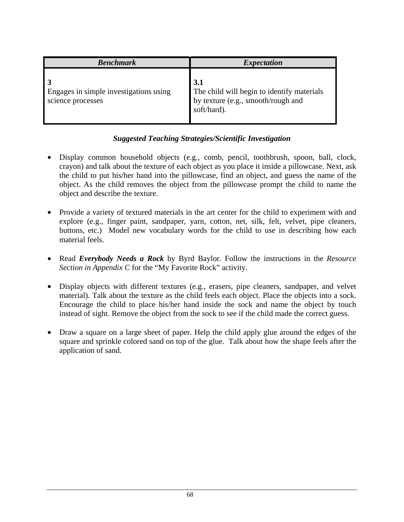| <b>Benchmark</b>                                            | <i>Expectation</i>                                                                                     |
|-------------------------------------------------------------|--------------------------------------------------------------------------------------------------------|
| Engages in simple investigations using<br>science processes | 3.1<br>The child will begin to identify materials<br>by texture (e.g., smooth/rough and<br>soft/hard). |

- Display common household objects (e.g., comb, pencil, toothbrush, spoon, ball, clock, crayon) and talk about the texture of each object as you place it inside a pillowcase. Next, ask the child to put his/her hand into the pillowcase, find an object, and guess the name of the object. As the child removes the object from the pillowcase prompt the child to name the object and describe the texture.
- Provide a variety of textured materials in the art center for the child to experiment with and explore (e.g., finger paint, sandpaper, yarn, cotton, net, silk, felt, velvet, pipe cleaners, buttons, etc.) Model new vocabulary words for the child to use in describing how each material feels.
- Read *Everybody Needs a Rock* by Byrd Baylor. Follow the instructions in the *Resource Section in Appendix C* for the "My Favorite Rock" activity.
- Display objects with different textures (e.g., erasers, pipe cleaners, sandpaper, and velvet material). Talk about the texture as the child feels each object. Place the objects into a sock. Encourage the child to place his/her hand inside the sock and name the object by touch instead of sight. Remove the object from the sock to see if the child made the correct guess.
- Draw a square on a large sheet of paper. Help the child apply glue around the edges of the square and sprinkle colored sand on top of the glue. Talk about how the shape feels after the application of sand.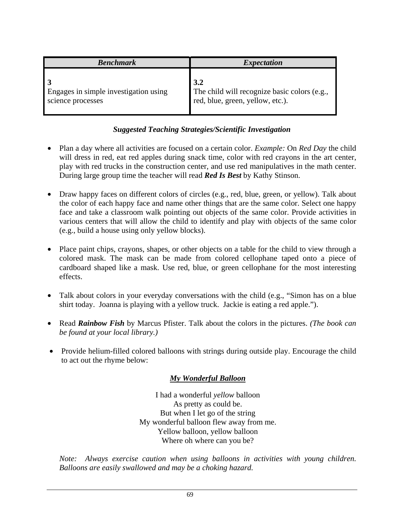| <b>Benchmark</b>                                           | <i>Expectation</i>                                                                      |
|------------------------------------------------------------|-----------------------------------------------------------------------------------------|
| Engages in simple investigation using<br>science processes | 3.2<br>The child will recognize basic colors (e.g.,<br>red, blue, green, yellow, etc.). |

- Plan a day where all activities are focused on a certain color. *Example:* On *Red Day* the child will dress in red, eat red apples during snack time, color with red crayons in the art center, play with red trucks in the construction center, and use red manipulatives in the math center. During large group time the teacher will read *Red Is Best* by Kathy Stinson.
- Draw happy faces on different colors of circles (e.g., red, blue, green, or yellow). Talk about the color of each happy face and name other things that are the same color. Select one happy face and take a classroom walk pointing out objects of the same color. Provide activities in various centers that will allow the child to identify and play with objects of the same color (e.g., build a house using only yellow blocks).
- Place paint chips, crayons, shapes, or other objects on a table for the child to view through a colored mask. The mask can be made from colored cellophane taped onto a piece of cardboard shaped like a mask. Use red, blue, or green cellophane for the most interesting effects.
- Talk about colors in your everyday conversations with the child (e.g., "Simon has on a blue shirt today. Joanna is playing with a yellow truck. Jackie is eating a red apple.").
- Read *Rainbow Fish* by Marcus Pfister. Talk about the colors in the pictures. *(The book can be found at your local library.)*
- Provide helium-filled colored balloons with strings during outside play. Encourage the child to act out the rhyme below:

### *My Wonderful Balloon*

I had a wonderful *yellow* balloon As pretty as could be. But when I let go of the string My wonderful balloon flew away from me. Yellow balloon, yellow balloon Where oh where can you be?

*Note: Always exercise caution when using balloons in activities with young children. Balloons are easily swallowed and may be a choking hazard.*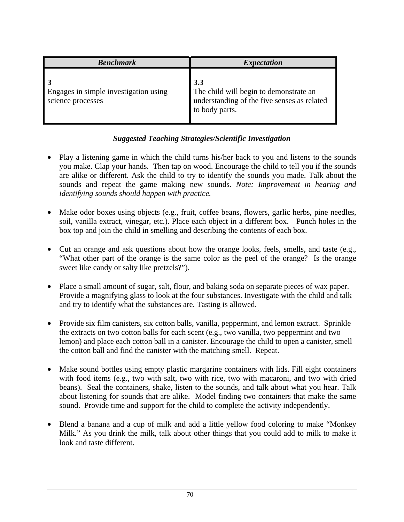| <b>Benchmark</b>                                           | <i>Expectation</i>                                                                                             |
|------------------------------------------------------------|----------------------------------------------------------------------------------------------------------------|
| Engages in simple investigation using<br>science processes | 3.3<br>The child will begin to demonstrate an<br>understanding of the five senses as related<br>to body parts. |

- Play a listening game in which the child turns his/her back to you and listens to the sounds you make. Clap your hands. Then tap on wood. Encourage the child to tell you if the sounds are alike or different. Ask the child to try to identify the sounds you made. Talk about the sounds and repeat the game making new sounds. *Note: Improvement in hearing and identifying sounds should happen with practice.*
- Make odor boxes using objects (e.g., fruit, coffee beans, flowers, garlic herbs, pine needles, soil, vanilla extract, vinegar, etc.). Place each object in a different box. Punch holes in the box top and join the child in smelling and describing the contents of each box.
- Cut an orange and ask questions about how the orange looks, feels, smells, and taste (e.g., "What other part of the orange is the same color as the peel of the orange? Is the orange sweet like candy or salty like pretzels?").
- Place a small amount of sugar, salt, flour, and baking soda on separate pieces of wax paper. Provide a magnifying glass to look at the four substances. Investigate with the child and talk and try to identify what the substances are. Tasting is allowed.
- Provide six film canisters, six cotton balls, vanilla, peppermint, and lemon extract. Sprinkle the extracts on two cotton balls for each scent (e.g., two vanilla, two peppermint and two lemon) and place each cotton ball in a canister. Encourage the child to open a canister, smell the cotton ball and find the canister with the matching smell. Repeat.
- Make sound bottles using empty plastic margarine containers with lids. Fill eight containers with food items (e.g., two with salt, two with rice, two with macaroni, and two with dried beans). Seal the containers, shake, listen to the sounds, and talk about what you hear. Talk about listening for sounds that are alike. Model finding two containers that make the same sound. Provide time and support for the child to complete the activity independently.
- Blend a banana and a cup of milk and add a little yellow food coloring to make "Monkey Milk." As you drink the milk, talk about other things that you could add to milk to make it look and taste different.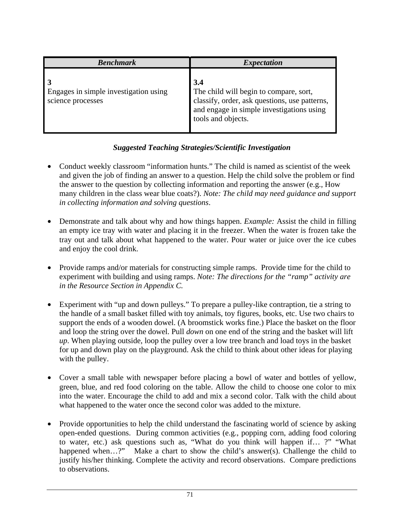| <b>Benchmark</b>                                           | <i>Expectation</i>                                                                                                                                                |
|------------------------------------------------------------|-------------------------------------------------------------------------------------------------------------------------------------------------------------------|
| Engages in simple investigation using<br>science processes | 3.4<br>The child will begin to compare, sort,<br>classify, order, ask questions, use patterns,<br>and engage in simple investigations using<br>tools and objects. |

- Conduct weekly classroom "information hunts." The child is named as scientist of the week and given the job of finding an answer to a question. Help the child solve the problem or find the answer to the question by collecting information and reporting the answer (e.g., How many children in the class wear blue coats?). *Note: The child may need guidance and support in collecting information and solving questions*.
- Demonstrate and talk about why and how things happen. *Example:* Assist the child in filling an empty ice tray with water and placing it in the freezer. When the water is frozen take the tray out and talk about what happened to the water. Pour water or juice over the ice cubes and enjoy the cool drink.
- Provide ramps and/or materials for constructing simple ramps. Provide time for the child to experiment with building and using ramps. *Note: The directions for the "ramp" activity are in the Resource Section in Appendix C.*
- Experiment with "up and down pulleys." To prepare a pulley-like contraption, tie a string to the handle of a small basket filled with toy animals, toy figures, books, etc. Use two chairs to support the ends of a wooden dowel. (A broomstick works fine.) Place the basket on the floor and loop the string over the dowel. Pull *down* on one end of the string and the basket will lift *up*. When playing outside, loop the pulley over a low tree branch and load toys in the basket for up and down play on the playground. Ask the child to think about other ideas for playing with the pulley.
- Cover a small table with newspaper before placing a bowl of water and bottles of yellow, green, blue, and red food coloring on the table. Allow the child to choose one color to mix into the water. Encourage the child to add and mix a second color. Talk with the child about what happened to the water once the second color was added to the mixture.
- Provide opportunities to help the child understand the fascinating world of science by asking open-ended questions. During common activities (e.g., popping corn, adding food coloring to water, etc.) ask questions such as, "What do you think will happen if… ?" "What happened when…?" Make a chart to show the child's answer(s). Challenge the child to justify his/her thinking. Complete the activity and record observations. Compare predictions to observations.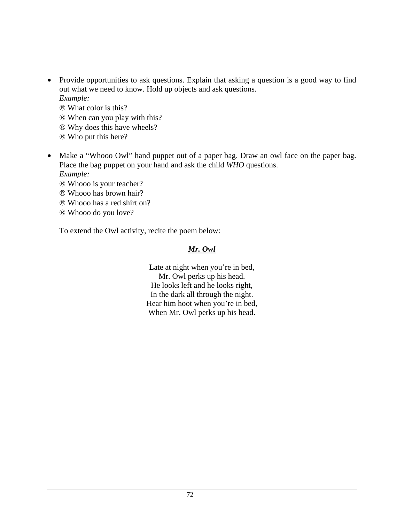- Provide opportunities to ask questions. Explain that asking a question is a good way to find out what we need to know. Hold up objects and ask questions. *Example:* 
	- ® What color is this?
	- ® When can you play with this?
	- ® Why does this have wheels?
	- ® Who put this here?
- Make a "Whooo Owl" hand puppet out of a paper bag. Draw an owl face on the paper bag. Place the bag puppet on your hand and ask the child *WHO* questions.
	- *Example:*
	- ® Whooo is your teacher?
	- ® Whooo has brown hair?
	- ® Whooo has a red shirt on?
	- ® Whooo do you love?

To extend the Owl activity, recite the poem below:

## *Mr. Owl*

Late at night when you're in bed, Mr. Owl perks up his head. He looks left and he looks right, In the dark all through the night. Hear him hoot when you're in bed, When Mr. Owl perks up his head.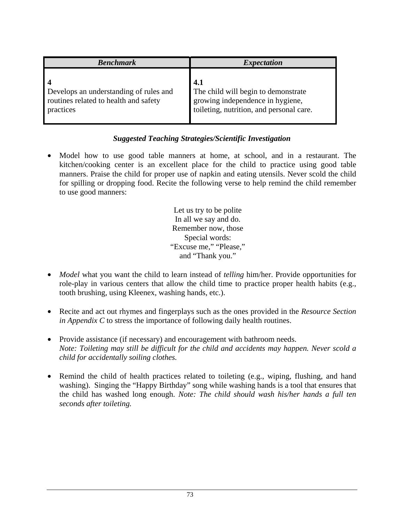| <b>Benchmark</b>                                                                             | <b>Expectation</b>                                                                                                         |
|----------------------------------------------------------------------------------------------|----------------------------------------------------------------------------------------------------------------------------|
| Develops an understanding of rules and<br>routines related to health and safety<br>practices | 4.1<br>The child will begin to demonstrate<br>growing independence in hygiene,<br>toileting, nutrition, and personal care. |

• Model how to use good table manners at home, at school, and in a restaurant. The kitchen/cooking center is an excellent place for the child to practice using good table manners. Praise the child for proper use of napkin and eating utensils. Never scold the child for spilling or dropping food. Recite the following verse to help remind the child remember to use good manners:

> Let us try to be polite In all we say and do. Remember now, those Special words: "Excuse me," "Please," and "Thank you."

- *Model* what you want the child to learn instead of *telling* him/her. Provide opportunities for role-play in various centers that allow the child time to practice proper health habits (e.g., tooth brushing, using Kleenex, washing hands, etc.).
- Recite and act out rhymes and fingerplays such as the ones provided in the *Resource Section in Appendix C* to stress the importance of following daily health routines.
- Provide assistance (if necessary) and encouragement with bathroom needs. *Note: Toileting may still be difficult for the child and accidents may happen. Never scold a child for accidentally soiling clothes.*
- Remind the child of health practices related to toileting (e.g., wiping, flushing, and hand washing). Singing the "Happy Birthday" song while washing hands is a tool that ensures that the child has washed long enough. *Note: The child should wash his/her hands a full ten seconds after toileting.*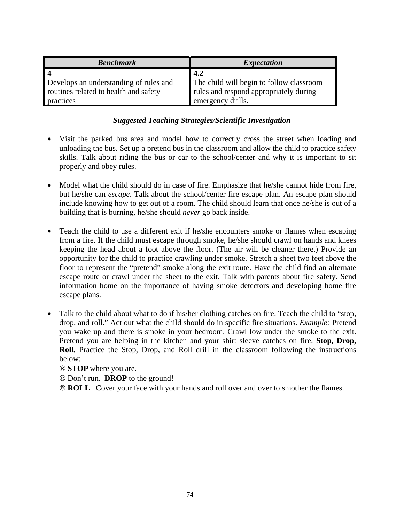| <b>Benchmark</b>                       | <i>Expectation</i>                       |
|----------------------------------------|------------------------------------------|
|                                        | 4.2                                      |
| Develops an understanding of rules and | The child will begin to follow classroom |
| routines related to health and safety  | rules and respond appropriately during   |
| practices                              | emergency drills.                        |

- Visit the parked bus area and model how to correctly cross the street when loading and unloading the bus. Set up a pretend bus in the classroom and allow the child to practice safety skills. Talk about riding the bus or car to the school/center and why it is important to sit properly and obey rules.
- Model what the child should do in case of fire. Emphasize that he/she cannot hide from fire, but he/she can *escape*. Talk about the school/center fire escape plan. An escape plan should include knowing how to get out of a room. The child should learn that once he/she is out of a building that is burning, he/she should *never* go back inside.
- Teach the child to use a different exit if he/she encounters smoke or flames when escaping from a fire. If the child must escape through smoke, he/she should crawl on hands and knees keeping the head about a foot above the floor. (The air will be cleaner there.) Provide an opportunity for the child to practice crawling under smoke. Stretch a sheet two feet above the floor to represent the "pretend" smoke along the exit route. Have the child find an alternate escape route or crawl under the sheet to the exit. Talk with parents about fire safety. Send information home on the importance of having smoke detectors and developing home fire escape plans.
- Talk to the child about what to do if his/her clothing catches on fire. Teach the child to "stop, drop, and roll." Act out what the child should do in specific fire situations. *Example:* Pretend you wake up and there is smoke in your bedroom. Crawl low under the smoke to the exit. Pretend you are helping in the kitchen and your shirt sleeve catches on fire. **Stop, Drop, Roll.** Practice the Stop, Drop, and Roll drill in the classroom following the instructions below:
	- ® **STOP** where you are.
	- ® Don't run. **DROP** to the ground!
	- ® **ROLL**. Cover your face with your hands and roll over and over to smother the flames.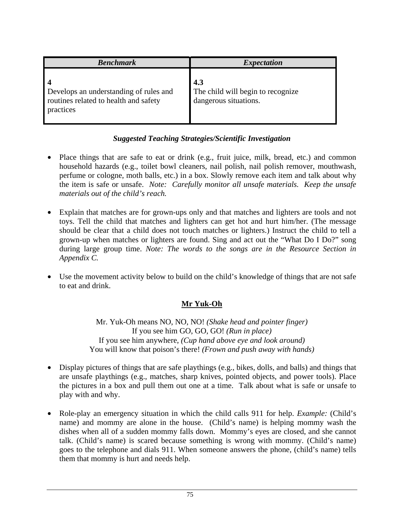| <b>Benchmark</b>                       | <b>Expectation</b>                |
|----------------------------------------|-----------------------------------|
| Develops an understanding of rules and | 4.3                               |
| routines related to health and safety  | The child will begin to recognize |
| practices                              | dangerous situations.             |

- Place things that are safe to eat or drink (e.g., fruit juice, milk, bread, etc.) and common household hazards (e.g., toilet bowl cleaners, nail polish, nail polish remover, mouthwash, perfume or cologne, moth balls, etc.) in a box. Slowly remove each item and talk about why the item is safe or unsafe. *Note: Carefully monitor all unsafe materials. Keep the unsafe materials out of the child's reach.*
- Explain that matches are for grown-ups only and that matches and lighters are tools and not toys. Tell the child that matches and lighters can get hot and hurt him/her. (The message should be clear that a child does not touch matches or lighters.) Instruct the child to tell a grown-up when matches or lighters are found. Sing and act out the "What Do I Do?" song during large group time. *Note: The words to the songs are in the Resource Section in Appendix C.*
- Use the movement activity below to build on the child's knowledge of things that are not safe to eat and drink.

## **Mr Yuk-Oh**

Mr. Yuk-Oh means NO, NO, NO! *(Shake head and pointer finger)*  If you see him GO, GO, GO! *(Run in place)*  If you see him anywhere, *(Cup hand above eye and look around)*  You will know that poison's there! *(Frown and push away with hands)* 

- Display pictures of things that are safe playthings (e.g., bikes, dolls, and balls) and things that are unsafe playthings (e.g., matches, sharp knives, pointed objects, and power tools). Place the pictures in a box and pull them out one at a time. Talk about what is safe or unsafe to play with and why.
- Role-play an emergency situation in which the child calls 911 for help. *Example:* (Child's name) and mommy are alone in the house. (Child's name) is helping mommy wash the dishes when all of a sudden mommy falls down. Mommy's eyes are closed, and she cannot talk. (Child's name) is scared because something is wrong with mommy. (Child's name) goes to the telephone and dials 911. When someone answers the phone, (child's name) tells them that mommy is hurt and needs help.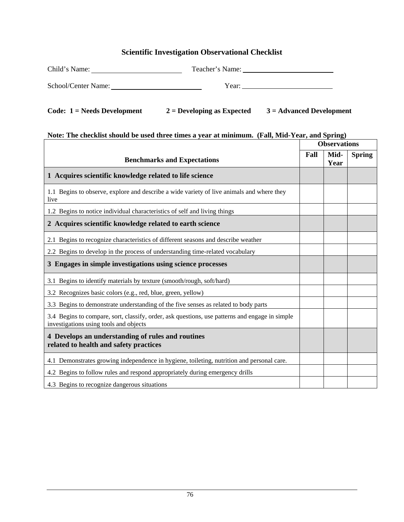## **Scientific Investigation Observational Checklist**

| Child's Name:       | Teacher's Name: |
|---------------------|-----------------|
| School/Center Name: | Year:           |

| Code: $1 =$ Needs Development | $2 =$ Developing as Expected | $3 =$ Advanced Development |
|-------------------------------|------------------------------|----------------------------|
|-------------------------------|------------------------------|----------------------------|

#### **Note: The checklist should be used three times a year at minimum. (Fall, Mid-Year, and Spring)**

|                                                                                                                                          |      | <b>Observations</b> |               |
|------------------------------------------------------------------------------------------------------------------------------------------|------|---------------------|---------------|
| <b>Benchmarks and Expectations</b>                                                                                                       | Fall | Mid-<br>Year        | <b>Spring</b> |
| 1 Acquires scientific knowledge related to life science                                                                                  |      |                     |               |
| 1.1 Begins to observe, explore and describe a wide variety of live animals and where they<br>live                                        |      |                     |               |
| 1.2 Begins to notice individual characteristics of self and living things                                                                |      |                     |               |
| 2 Acquires scientific knowledge related to earth science                                                                                 |      |                     |               |
| 2.1 Begins to recognize characteristics of different seasons and describe weather                                                        |      |                     |               |
| 2.2 Begins to develop in the process of understanding time-related vocabulary                                                            |      |                     |               |
| 3 Engages in simple investigations using science processes                                                                               |      |                     |               |
| 3.1 Begins to identify materials by texture (smooth/rough, soft/hard)                                                                    |      |                     |               |
| 3.2 Recognizes basic colors (e.g., red, blue, green, yellow)                                                                             |      |                     |               |
| 3.3 Begins to demonstrate understanding of the five senses as related to body parts                                                      |      |                     |               |
| 3.4 Begins to compare, sort, classify, order, ask questions, use patterns and engage in simple<br>investigations using tools and objects |      |                     |               |
| 4 Develops an understanding of rules and routines<br>related to health and safety practices                                              |      |                     |               |
| 4.1 Demonstrates growing independence in hygiene, toileting, nutrition and personal care.                                                |      |                     |               |
| 4.2 Begins to follow rules and respond appropriately during emergency drills                                                             |      |                     |               |
| 4.3 Begins to recognize dangerous situations                                                                                             |      |                     |               |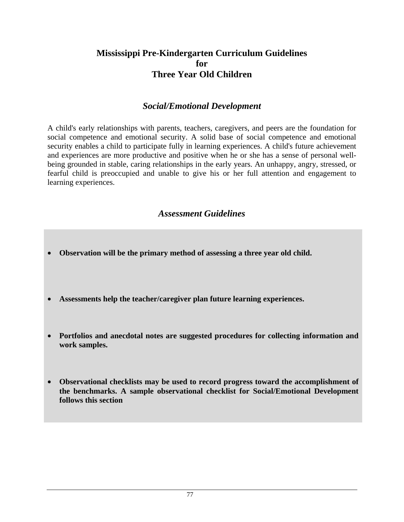# **Mississippi Pre-Kindergarten Curriculum Guidelines for Three Year Old Children**

# *Social/Emotional Development*

A child's early relationships with parents, teachers, caregivers, and peers are the foundation for social competence and emotional security. A solid base of social competence and emotional security enables a child to participate fully in learning experiences. A child's future achievement and experiences are more productive and positive when he or she has a sense of personal wellbeing grounded in stable, caring relationships in the early years. An unhappy, angry, stressed, or fearful child is preoccupied and unable to give his or her full attention and engagement to learning experiences.

# *Assessment Guidelines*

- **Observation will be the primary method of assessing a three year old child.**
- **Assessments help the teacher/caregiver plan future learning experiences.**
- **Portfolios and anecdotal notes are suggested procedures for collecting information and work samples.**
- **Observational checklists may be used to record progress toward the accomplishment of the benchmarks. A sample observational checklist for Social/Emotional Development follows this section**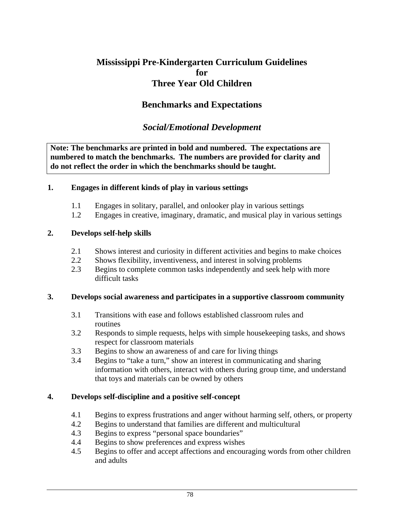# **Mississippi Pre-Kindergarten Curriculum Guidelines for Three Year Old Children**

# **Benchmarks and Expectations**

## *Social/Emotional Development*

**Note: The benchmarks are printed in bold and numbered. The expectations are numbered to match the benchmarks. The numbers are provided for clarity and do not reflect the order in which the benchmarks should be taught.**

### **1. Engages in different kinds of play in various settings**

- 1.1 Engages in solitary, parallel, and onlooker play in various settings
- 1.2 Engages in creative, imaginary, dramatic, and musical play in various settings

### **2. Develops self-help skills**

- 2.1 Shows interest and curiosity in different activities and begins to make choices
- 2.2 Shows flexibility, inventiveness, and interest in solving problems
- 2.3 Begins to complete common tasks independently and seek help with more difficult tasks

#### **3. Develops social awareness and participates in a supportive classroom community**

- 3.1 Transitions with ease and follows established classroom rules and routines
- 3.2 Responds to simple requests, helps with simple housekeeping tasks, and shows respect for classroom materials
- 3.3 Begins to show an awareness of and care for living things
- 3.4 Begins to "take a turn," show an interest in communicating and sharing information with others, interact with others during group time, and understand that toys and materials can be owned by others

### **4. Develops self-discipline and a positive self-concept**

- 4.1 Begins to express frustrations and anger without harming self, others, or property
- 4.2 Begins to understand that families are different and multicultural
- 4.3 Begins to express "personal space boundaries"
- 4.4 Begins to show preferences and express wishes
- 4.5 Begins to offer and accept affections and encouraging words from other children and adults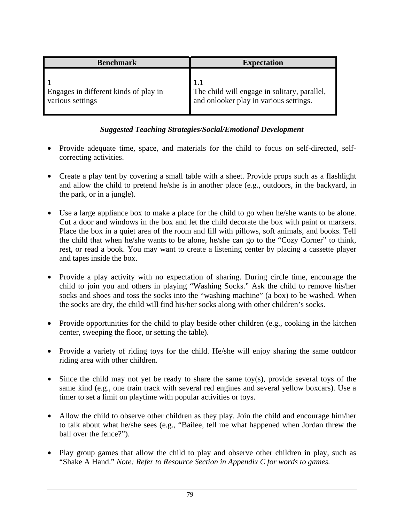| <b>Benchmark</b>                                          | <b>Expectation</b>                                                                            |
|-----------------------------------------------------------|-----------------------------------------------------------------------------------------------|
| Engages in different kinds of play in<br>various settings | 1.1<br>The child will engage in solitary, parallel,<br>and onlooker play in various settings. |

- Provide adequate time, space, and materials for the child to focus on self-directed, selfcorrecting activities.
- Create a play tent by covering a small table with a sheet. Provide props such as a flashlight and allow the child to pretend he/she is in another place (e.g., outdoors, in the backyard, in the park, or in a jungle).
- Use a large appliance box to make a place for the child to go when he/she wants to be alone. Cut a door and windows in the box and let the child decorate the box with paint or markers. Place the box in a quiet area of the room and fill with pillows, soft animals, and books. Tell the child that when he/she wants to be alone, he/she can go to the "Cozy Corner" to think, rest, or read a book. You may want to create a listening center by placing a cassette player and tapes inside the box.
- Provide a play activity with no expectation of sharing. During circle time, encourage the child to join you and others in playing "Washing Socks." Ask the child to remove his/her socks and shoes and toss the socks into the "washing machine" (a box) to be washed. When the socks are dry, the child will find his/her socks along with other children's socks.
- Provide opportunities for the child to play beside other children (e.g., cooking in the kitchen center, sweeping the floor, or setting the table).
- Provide a variety of riding toys for the child. He/she will enjoy sharing the same outdoor riding area with other children.
- Since the child may not yet be ready to share the same toy(s), provide several toys of the same kind (e.g., one train track with several red engines and several yellow boxcars). Use a timer to set a limit on playtime with popular activities or toys.
- Allow the child to observe other children as they play. Join the child and encourage him/her to talk about what he/she sees (e.g., "Bailee, tell me what happened when Jordan threw the ball over the fence?").
- Play group games that allow the child to play and observe other children in play, such as "Shake A Hand." *Note: Refer to Resource Section in Appendix C for words to games.*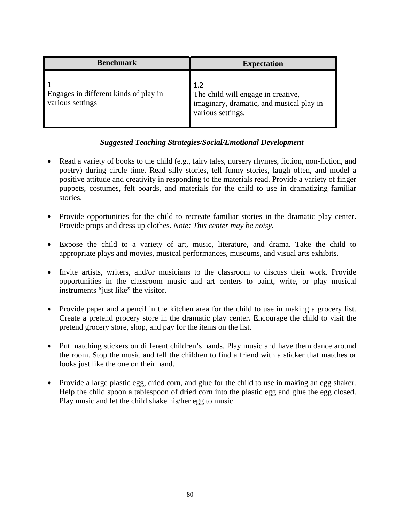| <b>Benchmark</b>                                          | <b>Expectation</b>                                                                                         |
|-----------------------------------------------------------|------------------------------------------------------------------------------------------------------------|
| Engages in different kinds of play in<br>various settings | 1.2<br>The child will engage in creative,<br>imaginary, dramatic, and musical play in<br>various settings. |

- Read a variety of books to the child (e.g., fairy tales, nursery rhymes, fiction, non-fiction, and poetry) during circle time. Read silly stories, tell funny stories, laugh often, and model a positive attitude and creativity in responding to the materials read. Provide a variety of finger puppets, costumes, felt boards, and materials for the child to use in dramatizing familiar stories.
- Provide opportunities for the child to recreate familiar stories in the dramatic play center. Provide props and dress up clothes. *Note: This center may be noisy.*
- Expose the child to a variety of art, music, literature, and drama. Take the child to appropriate plays and movies, musical performances, museums, and visual arts exhibits.
- Invite artists, writers, and/or musicians to the classroom to discuss their work. Provide opportunities in the classroom music and art centers to paint, write, or play musical instruments "just like" the visitor.
- Provide paper and a pencil in the kitchen area for the child to use in making a grocery list. Create a pretend grocery store in the dramatic play center. Encourage the child to visit the pretend grocery store, shop, and pay for the items on the list.
- Put matching stickers on different children's hands. Play music and have them dance around the room. Stop the music and tell the children to find a friend with a sticker that matches or looks just like the one on their hand.
- Provide a large plastic egg, dried corn, and glue for the child to use in making an egg shaker. Help the child spoon a tablespoon of dried corn into the plastic egg and glue the egg closed. Play music and let the child shake his/her egg to music.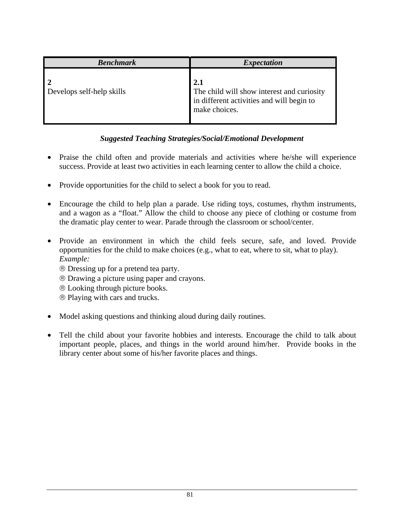| <b>Benchmark</b>          | <b>Expectation</b>                                                                                              |
|---------------------------|-----------------------------------------------------------------------------------------------------------------|
| Develops self-help skills | 2.1<br>The child will show interest and curiosity<br>in different activities and will begin to<br>make choices. |

- Praise the child often and provide materials and activities where he/she will experience success. Provide at least two activities in each learning center to allow the child a choice.
- Provide opportunities for the child to select a book for you to read.
- Encourage the child to help plan a parade. Use riding toys, costumes, rhythm instruments, and a wagon as a "float." Allow the child to choose any piece of clothing or costume from the dramatic play center to wear. Parade through the classroom or school/center.
- Provide an environment in which the child feels secure, safe, and loved. Provide opportunities for the child to make choices (e.g., what to eat, where to sit, what to play). *Example:* 
	- ® Dressing up for a pretend tea party.
	- ® Drawing a picture using paper and crayons.
	- ® Looking through picture books.
	- ® Playing with cars and trucks.
- Model asking questions and thinking aloud during daily routines.
- Tell the child about your favorite hobbies and interests. Encourage the child to talk about important people, places, and things in the world around him/her. Provide books in the library center about some of his/her favorite places and things.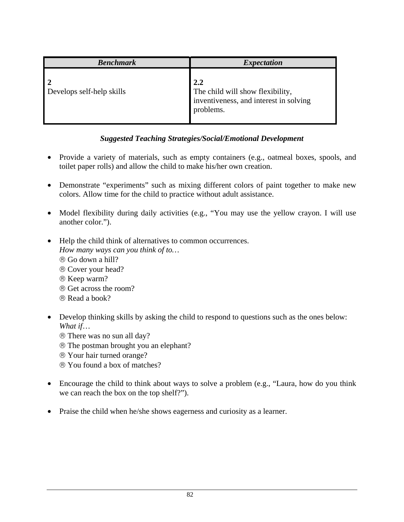| <b>Benchmark</b>          | <b>Expectation</b>                                                                             |
|---------------------------|------------------------------------------------------------------------------------------------|
| Develops self-help skills | 2.2<br>The child will show flexibility,<br>inventiveness, and interest in solving<br>problems. |

- Provide a variety of materials, such as empty containers (e.g., oatmeal boxes, spools, and toilet paper rolls) and allow the child to make his/her own creation.
- Demonstrate "experiments" such as mixing different colors of paint together to make new colors. Allow time for the child to practice without adult assistance.
- Model flexibility during daily activities (e.g., "You may use the yellow crayon. I will use another color.").
- Help the child think of alternatives to common occurrences. *How many ways can you think of to…* 
	- ® Go down a hill?
	- ® Cover your head?
	- ® Keep warm?
	- ® Get across the room?
	- ® Read a book?
- Develop thinking skills by asking the child to respond to questions such as the ones below: *What if*…
	- ® There was no sun all day?
	- ® The postman brought you an elephant?
	- ® Your hair turned orange?
	- ® You found a box of matches?
- Encourage the child to think about ways to solve a problem (e.g., "Laura, how do you think we can reach the box on the top shelf?").
- Praise the child when he/she shows eagerness and curiosity as a learner.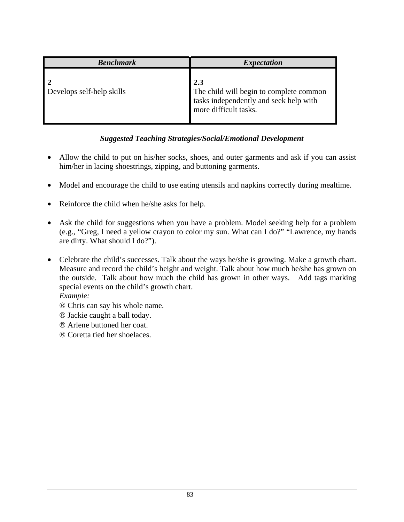| <b>Benchmark</b>          | <b>Expectation</b>                                                                                                |
|---------------------------|-------------------------------------------------------------------------------------------------------------------|
| Develops self-help skills | 2.3<br>The child will begin to complete common<br>tasks independently and seek help with<br>more difficult tasks. |

- Allow the child to put on his/her socks, shoes, and outer garments and ask if you can assist him/her in lacing shoestrings, zipping, and buttoning garments.
- Model and encourage the child to use eating utensils and napkins correctly during mealtime.
- Reinforce the child when he/she asks for help.
- Ask the child for suggestions when you have a problem. Model seeking help for a problem (e.g., "Greg, I need a yellow crayon to color my sun. What can I do?" "Lawrence, my hands are dirty. What should I do?").
- Celebrate the child's successes. Talk about the ways he/she is growing. Make a growth chart. Measure and record the child's height and weight. Talk about how much he/she has grown on the outside. Talk about how much the child has grown in other ways. Add tags marking special events on the child's growth chart.

*Example:* 

- ® Chris can say his whole name.
- ® Jackie caught a ball today.
- ® Arlene buttoned her coat.
- ® Coretta tied her shoelaces.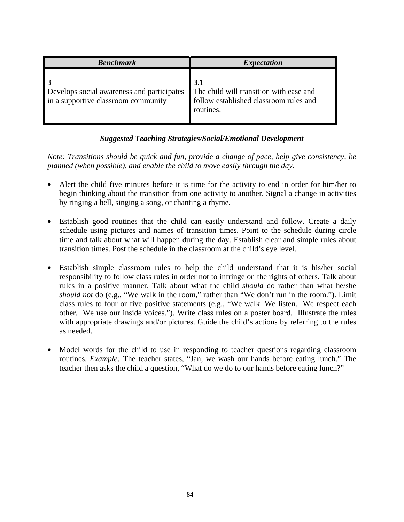| <b>Benchmark</b>                                                                  | <i>Expectation</i>                                                                                    |
|-----------------------------------------------------------------------------------|-------------------------------------------------------------------------------------------------------|
| Develops social awareness and participates<br>in a supportive classroom community | 3.1<br>The child will transition with ease and<br>follow established classroom rules and<br>routines. |

*Note: Transitions should be quick and fun, provide a change of pace, help give consistency, be planned (when possible), and enable the child to move easily through the day.* 

- Alert the child five minutes before it is time for the activity to end in order for him/her to begin thinking about the transition from one activity to another. Signal a change in activities by ringing a bell, singing a song, or chanting a rhyme.
- Establish good routines that the child can easily understand and follow. Create a daily schedule using pictures and names of transition times. Point to the schedule during circle time and talk about what will happen during the day. Establish clear and simple rules about transition times. Post the schedule in the classroom at the child's eye level.
- Establish simple classroom rules to help the child understand that it is his/her social responsibility to follow class rules in order not to infringe on the rights of others. Talk about rules in a positive manner. Talk about what the child *should* do rather than what he/she *should not* do (e.g., "We walk in the room," rather than "We don't run in the room."). Limit class rules to four or five positive statements (e.g., "We walk. We listen. We respect each other. We use our inside voices."). Write class rules on a poster board. Illustrate the rules with appropriate drawings and/or pictures. Guide the child's actions by referring to the rules as needed.
- Model words for the child to use in responding to teacher questions regarding classroom routines. *Example:* The teacher states, "Jan, we wash our hands before eating lunch." The teacher then asks the child a question, "What do we do to our hands before eating lunch?"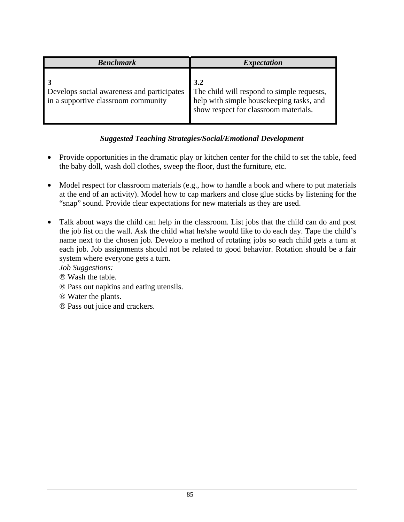| <b>Benchmark</b>                                                                  | <i>Expectation</i>                                                                                                                     |
|-----------------------------------------------------------------------------------|----------------------------------------------------------------------------------------------------------------------------------------|
| Develops social awareness and participates<br>in a supportive classroom community | 3.2<br>The child will respond to simple requests,<br>help with simple housekeeping tasks, and<br>show respect for classroom materials. |

- Provide opportunities in the dramatic play or kitchen center for the child to set the table, feed the baby doll, wash doll clothes, sweep the floor, dust the furniture, etc.
- Model respect for classroom materials (e.g., how to handle a book and where to put materials at the end of an activity). Model how to cap markers and close glue sticks by listening for the "snap" sound. Provide clear expectations for new materials as they are used.
- Talk about ways the child can help in the classroom. List jobs that the child can do and post the job list on the wall. Ask the child what he/she would like to do each day. Tape the child's name next to the chosen job. Develop a method of rotating jobs so each child gets a turn at each job. Job assignments should not be related to good behavior. Rotation should be a fair system where everyone gets a turn.
	- *Job Suggestions:*
	- ® Wash the table.
	- ® Pass out napkins and eating utensils.
	- ® Water the plants.
	- ® Pass out juice and crackers.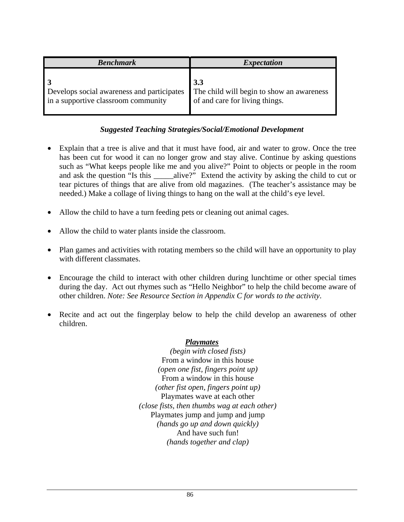| <b>Benchmark</b>                                                                  | <i>Expectation</i>                                                                 |
|-----------------------------------------------------------------------------------|------------------------------------------------------------------------------------|
| Develops social awareness and participates<br>in a supportive classroom community | 3.3<br>The child will begin to show an awareness<br>of and care for living things. |

- Explain that a tree is alive and that it must have food, air and water to grow. Once the tree has been cut for wood it can no longer grow and stay alive. Continue by asking questions such as "What keeps people like me and you alive?" Point to objects or people in the room and ask the question "Is this alive?" Extend the activity by asking the child to cut or tear pictures of things that are alive from old magazines. (The teacher's assistance may be needed.) Make a collage of living things to hang on the wall at the child's eye level.
- Allow the child to have a turn feeding pets or cleaning out animal cages.
- Allow the child to water plants inside the classroom.
- Plan games and activities with rotating members so the child will have an opportunity to play with different classmates.
- Encourage the child to interact with other children during lunchtime or other special times during the day. Act out rhymes such as "Hello Neighbor" to help the child become aware of other children. *Note: See Resource Section in Appendix C for words to the activity*.
- Recite and act out the fingerplay below to help the child develop an awareness of other children.

### *Playmates*

*(begin with closed fists)*  From a window in this house *(open one fist, fingers point up)*  From a window in this house *(other fist open, fingers point up)*  Playmates wave at each other *(close fists, then thumbs wag at each other)*  Playmates jump and jump and jump *(hands go up and down quickly)*  And have such fun! *(hands together and clap)*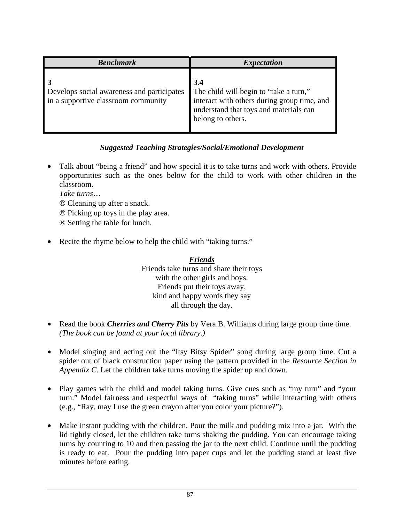| <b>Benchmark</b>                                                                  | <i>Expectation</i>                                                                                                                                          |
|-----------------------------------------------------------------------------------|-------------------------------------------------------------------------------------------------------------------------------------------------------------|
| Develops social awareness and participates<br>in a supportive classroom community | 3.4<br>The child will begin to "take a turn,"<br>interact with others during group time, and<br>understand that toys and materials can<br>belong to others. |

• Talk about "being a friend" and how special it is to take turns and work with others. Provide opportunities such as the ones below for the child to work with other children in the classroom.

*Take turns*…

- ® Cleaning up after a snack.
- ® Picking up toys in the play area.
- ® Setting the table for lunch.
- Recite the rhyme below to help the child with "taking turns."

### *Friends* Friends take turns and share their toys with the other girls and boys. Friends put their toys away, kind and happy words they say all through the day.

- Read the book *Cherries and Cherry Pits* by Vera B. Williams during large group time time. *(The book can be found at your local library.)*
- Model singing and acting out the "Itsy Bitsy Spider" song during large group time. Cut a spider out of black construction paper using the pattern provided in the *Resource Section in Appendix C*. Let the children take turns moving the spider up and down.
- Play games with the child and model taking turns. Give cues such as "my turn" and "your turn." Model fairness and respectful ways of "taking turns" while interacting with others (e.g., "Ray, may I use the green crayon after you color your picture?").
- Make instant pudding with the children. Pour the milk and pudding mix into a jar. With the lid tightly closed, let the children take turns shaking the pudding. You can encourage taking turns by counting to 10 and then passing the jar to the next child. Continue until the pudding is ready to eat. Pour the pudding into paper cups and let the pudding stand at least five minutes before eating.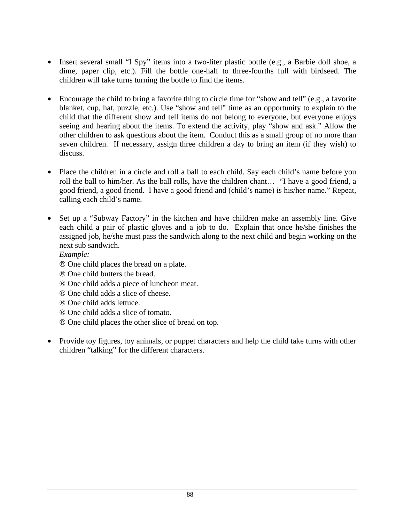- Insert several small "I Spy" items into a two-liter plastic bottle (e.g., a Barbie doll shoe, a dime, paper clip, etc.). Fill the bottle one-half to three-fourths full with birdseed. The children will take turns turning the bottle to find the items.
- Encourage the child to bring a favorite thing to circle time for "show and tell" (e.g., a favorite blanket, cup, hat, puzzle, etc.). Use "show and tell" time as an opportunity to explain to the child that the different show and tell items do not belong to everyone, but everyone enjoys seeing and hearing about the items. To extend the activity, play "show and ask." Allow the other children to ask questions about the item. Conduct this as a small group of no more than seven children. If necessary, assign three children a day to bring an item (if they wish) to discuss.
- Place the children in a circle and roll a ball to each child. Say each child's name before you roll the ball to him/her. As the ball rolls, have the children chant… "I have a good friend, a good friend, a good friend. I have a good friend and (child's name) is his/her name." Repeat, calling each child's name.
- Set up a "Subway Factory" in the kitchen and have children make an assembly line. Give each child a pair of plastic gloves and a job to do. Explain that once he/she finishes the assigned job, he/she must pass the sandwich along to the next child and begin working on the next sub sandwich.

*Example:* 

- ® One child places the bread on a plate.
- ® One child butters the bread.
- ® One child adds a piece of luncheon meat.
- ® One child adds a slice of cheese.
- ® One child adds lettuce.
- ® One child adds a slice of tomato.
- ® One child places the other slice of bread on top.
- Provide toy figures, toy animals, or puppet characters and help the child take turns with other children "talking" for the different characters.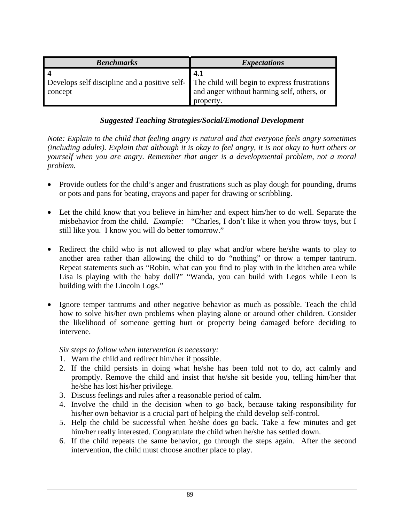| <b>Benchmarks</b>                                                                          | <b>Expectations</b>                        |
|--------------------------------------------------------------------------------------------|--------------------------------------------|
|                                                                                            | 4.1                                        |
| Develops self discipline and a positive self- The child will begin to express frustrations |                                            |
| concept                                                                                    | and anger without harming self, others, or |
|                                                                                            | property.                                  |

*Note: Explain to the child that feeling angry is natural and that everyone feels angry sometimes (including adults). Explain that although it is okay to feel angry, it is not okay to hurt others or yourself when you are angry. Remember that anger is a developmental problem, not a moral problem.* 

- Provide outlets for the child's anger and frustrations such as play dough for pounding, drums or pots and pans for beating, crayons and paper for drawing or scribbling.
- Let the child know that you believe in him/her and expect him/her to do well. Separate the misbehavior from the child. *Example:* "Charles, I don't like it when you throw toys, but I still like you. I know you will do better tomorrow."
- Redirect the child who is not allowed to play what and/or where he/she wants to play to another area rather than allowing the child to do "nothing" or throw a temper tantrum. Repeat statements such as "Robin, what can you find to play with in the kitchen area while Lisa is playing with the baby doll?" "Wanda, you can build with Legos while Leon is building with the Lincoln Logs."
- Ignore temper tantrums and other negative behavior as much as possible. Teach the child how to solve his/her own problems when playing alone or around other children. Consider the likelihood of someone getting hurt or property being damaged before deciding to intervene.

*Six steps to follow when intervention is necessary:* 

- 1. Warn the child and redirect him/her if possible.
- 2. If the child persists in doing what he/she has been told not to do, act calmly and promptly. Remove the child and insist that he/she sit beside you, telling him/her that he/she has lost his/her privilege.
- 3. Discuss feelings and rules after a reasonable period of calm.
- 4. Involve the child in the decision when to go back, because taking responsibility for his/her own behavior is a crucial part of helping the child develop self-control.
- 5. Help the child be successful when he/she does go back. Take a few minutes and get him/her really interested. Congratulate the child when he/she has settled down.
- 6. If the child repeats the same behavior, go through the steps again. After the second intervention, the child must choose another place to play.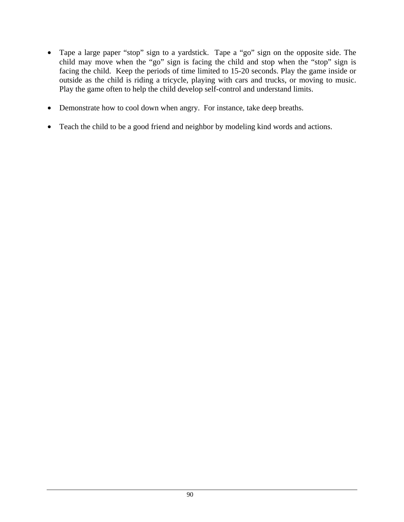- Tape a large paper "stop" sign to a yardstick. Tape a "go" sign on the opposite side. The child may move when the "go" sign is facing the child and stop when the "stop" sign is facing the child. Keep the periods of time limited to 15-20 seconds. Play the game inside or outside as the child is riding a tricycle, playing with cars and trucks, or moving to music. Play the game often to help the child develop self-control and understand limits.
- Demonstrate how to cool down when angry. For instance, take deep breaths.
- Teach the child to be a good friend and neighbor by modeling kind words and actions.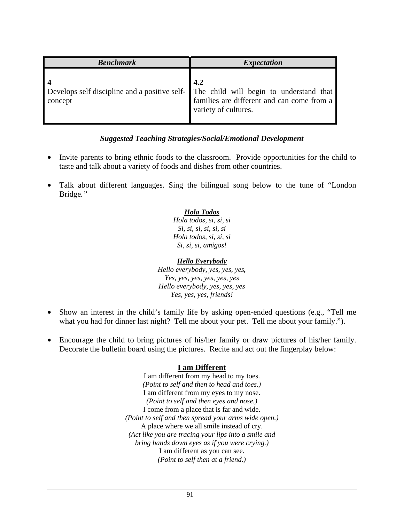| <b>Benchmark</b>                                                                                                                       | <b>Expectation</b>          |
|----------------------------------------------------------------------------------------------------------------------------------------|-----------------------------|
| Develops self discipline and a positive self-<br>The child will begin to understand that<br>families are different and can come from a | 4.2<br>variety of cultures. |

- Invite parents to bring ethnic foods to the classroom. Provide opportunities for the child to taste and talk about a variety of foods and dishes from other countries.
- Talk about different languages. Sing the bilingual song below to the tune of "London Bridge*."*

### *Hola Todos*

*Hola todos, si, si, si Si, si, si, si, si, si Hola todos, si, si, si Si, si, si, amigos!* 

#### *Hello Everybody*

*Hello everybody, yes, yes, yes, Yes, yes, yes, yes, yes, yes Hello everybody, yes, yes, yes Yes, yes, yes, friends!* 

- Show an interest in the child's family life by asking open-ended questions (e.g., "Tell me what you had for dinner last night? Tell me about your pet. Tell me about your family.").
- Encourage the child to bring pictures of his/her family or draw pictures of his/her family. Decorate the bulletin board using the pictures. Recite and act out the fingerplay below:

### **I am Different**

I am different from my head to my toes. *(Point to self and then to head and toes.)*  I am different from my eyes to my nose. *(Point to self and then eyes and nose.)*  I come from a place that is far and wide. *(Point to self and then spread your arms wide open.)*  A place where we all smile instead of cry. *(Act like you are tracing your lips into a smile and bring hands down eyes as if you were crying.)*  I am different as you can see. *(Point to self then at a friend.)*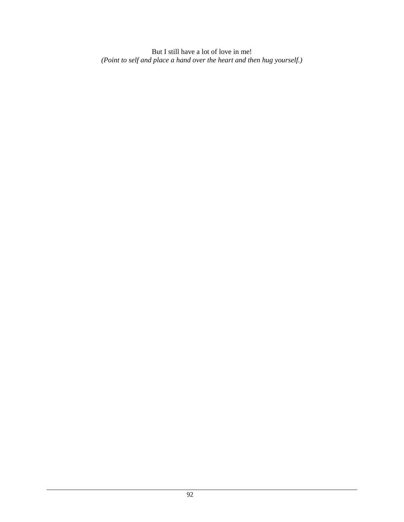But I still have a lot of love in me! *(Point to self and place a hand over the heart and then hug yourself.)*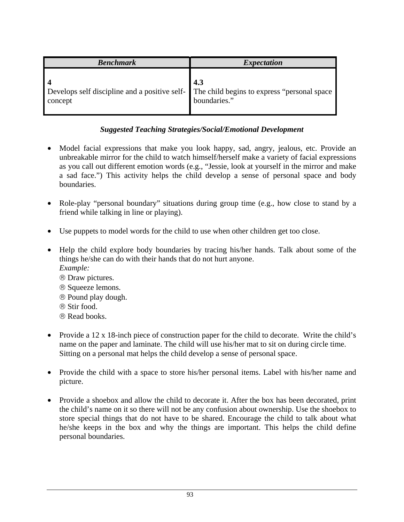| <b>Benchmark</b>                                                                          | <i>Expectation</i> |
|-------------------------------------------------------------------------------------------|--------------------|
| Develops self discipline and a positive self- The child begins to express "personal space | 4.3                |
| concept                                                                                   | boundaries."       |

- Model facial expressions that make you look happy, sad, angry, jealous, etc. Provide an unbreakable mirror for the child to watch himself/herself make a variety of facial expressions as you call out different emotion words (e.g., "Jessie, look at yourself in the mirror and make a sad face.") This activity helps the child develop a sense of personal space and body boundaries.
- Role-play "personal boundary" situations during group time (e.g., how close to stand by a friend while talking in line or playing).
- Use puppets to model words for the child to use when other children get too close.
- Help the child explore body boundaries by tracing his/her hands. Talk about some of the things he/she can do with their hands that do not hurt anyone. *Example:* 
	- ® Draw pictures.
	- ® Squeeze lemons.
	- ® Pound play dough.
	- ® Stir food.
	- ® Read books.
- Provide a 12 x 18-inch piece of construction paper for the child to decorate. Write the child's name on the paper and laminate. The child will use his/her mat to sit on during circle time. Sitting on a personal mat helps the child develop a sense of personal space.
- Provide the child with a space to store his/her personal items. Label with his/her name and picture.
- Provide a shoebox and allow the child to decorate it. After the box has been decorated, print the child's name on it so there will not be any confusion about ownership. Use the shoebox to store special things that do not have to be shared. Encourage the child to talk about what he/she keeps in the box and why the things are important. This helps the child define personal boundaries.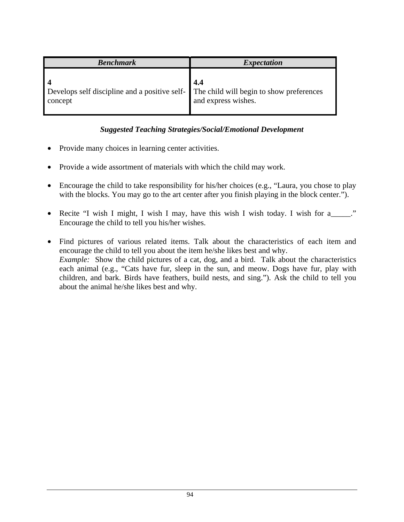| <b>Benchmark</b>                                                                       | <i>Expectation</i>  |
|----------------------------------------------------------------------------------------|---------------------|
| Develops self discipline and a positive self- The child will begin to show preferences | 4.4                 |
| concept                                                                                | and express wishes. |

#### *Suggested Teaching Strategies/Social/Emotional Development*

- Provide many choices in learning center activities.
- Provide a wide assortment of materials with which the child may work.
- Encourage the child to take responsibility for his/her choices (e.g., "Laura, you chose to play with the blocks. You may go to the art center after you finish playing in the block center.").
- Recite "I wish I might, I wish I may, have this wish I wish today. I wish for a\_\_\_\_\_." Encourage the child to tell you his/her wishes.
- Find pictures of various related items. Talk about the characteristics of each item and encourage the child to tell you about the item he/she likes best and why. *Example:* Show the child pictures of a cat, dog, and a bird. Talk about the characteristics each animal (e.g., "Cats have fur, sleep in the sun, and meow. Dogs have fur, play with children, and bark. Birds have feathers, build nests, and sing."). Ask the child to tell you about the animal he/she likes best and why.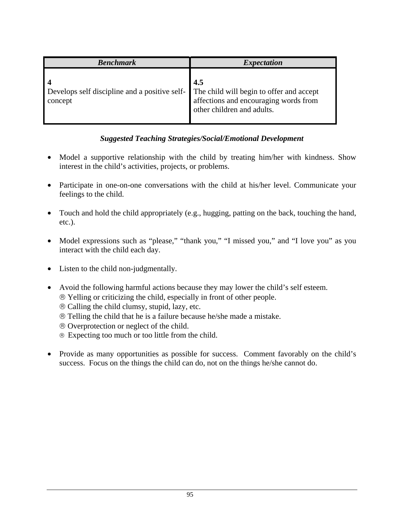| <b>Benchmark</b>                                         | <i>Expectation</i>                                                                                                     |
|----------------------------------------------------------|------------------------------------------------------------------------------------------------------------------------|
| Develops self discipline and a positive self-<br>concept | 4.5<br>The child will begin to offer and accept<br>affections and encouraging words from<br>other children and adults. |

## *Suggested Teaching Strategies/Social/Emotional Development*

- Model a supportive relationship with the child by treating him/her with kindness. Show interest in the child's activities, projects, or problems.
- Participate in one-on-one conversations with the child at his/her level. Communicate your feelings to the child.
- Touch and hold the child appropriately (e.g., hugging, patting on the back, touching the hand, etc.).
- Model expressions such as "please," "thank you," "I missed you," and "I love you" as you interact with the child each day.
- Listen to the child non-judgmentally.
- Avoid the following harmful actions because they may lower the child's self esteem.
	- ® Yelling or criticizing the child, especially in front of other people.
	- ® Calling the child clumsy, stupid, lazy, etc.
	- ® Telling the child that he is a failure because he/she made a mistake.
	- ® Overprotection or neglect of the child.
	- ® Expecting too much or too little from the child.
- Provide as many opportunities as possible for success. Comment favorably on the child's success. Focus on the things the child can do, not on the things he/she cannot do.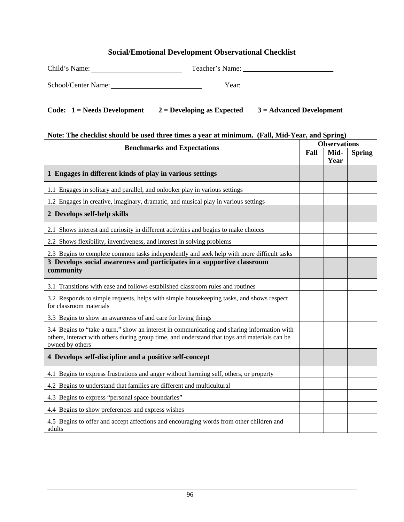## **Social/Emotional Development Observational Checklist**

| Child's Name:       | Teacher's Name: |  |
|---------------------|-----------------|--|
| School/Center Name: | Year:           |  |

#### Code: 1 = Needs Development 2 = Developing as Expected 3 = Advanced Development

#### **Note: The checklist should be used three times a year at minimum. (Fall, Mid-Year, and Spring)**

| <b>Benchmarks and Expectations</b>                                                                                                                                                                              |  | <b>Observations</b> |               |  |
|-----------------------------------------------------------------------------------------------------------------------------------------------------------------------------------------------------------------|--|---------------------|---------------|--|
|                                                                                                                                                                                                                 |  | Mid-<br>Year        | <b>Spring</b> |  |
| 1 Engages in different kinds of play in various settings                                                                                                                                                        |  |                     |               |  |
| 1.1 Engages in solitary and parallel, and onlooker play in various settings                                                                                                                                     |  |                     |               |  |
| 1.2 Engages in creative, imaginary, dramatic, and musical play in various settings                                                                                                                              |  |                     |               |  |
| 2 Develops self-help skills                                                                                                                                                                                     |  |                     |               |  |
| 2.1 Shows interest and curiosity in different activities and begins to make choices                                                                                                                             |  |                     |               |  |
| 2.2 Shows flexibility, inventiveness, and interest in solving problems                                                                                                                                          |  |                     |               |  |
| 2.3 Begins to complete common tasks independently and seek help with more difficult tasks                                                                                                                       |  |                     |               |  |
| 3 Develops social awareness and participates in a supportive classroom<br>community                                                                                                                             |  |                     |               |  |
| 3.1 Transitions with ease and follows established classroom rules and routines                                                                                                                                  |  |                     |               |  |
| 3.2 Responds to simple requests, helps with simple house keeping tasks, and shows respect<br>for classroom materials                                                                                            |  |                     |               |  |
| 3.3 Begins to show an awareness of and care for living things                                                                                                                                                   |  |                     |               |  |
| 3.4 Begins to "take a turn," show an interest in communicating and sharing information with<br>others, interact with others during group time, and understand that toys and materials can be<br>owned by others |  |                     |               |  |
| 4 Develops self-discipline and a positive self-concept                                                                                                                                                          |  |                     |               |  |
| 4.1 Begins to express frustrations and anger without harming self, others, or property                                                                                                                          |  |                     |               |  |
| 4.2 Begins to understand that families are different and multicultural                                                                                                                                          |  |                     |               |  |
| 4.3 Begins to express "personal space boundaries"                                                                                                                                                               |  |                     |               |  |
| 4.4 Begins to show preferences and express wishes                                                                                                                                                               |  |                     |               |  |
| 4.5 Begins to offer and accept affections and encouraging words from other children and<br>adults                                                                                                               |  |                     |               |  |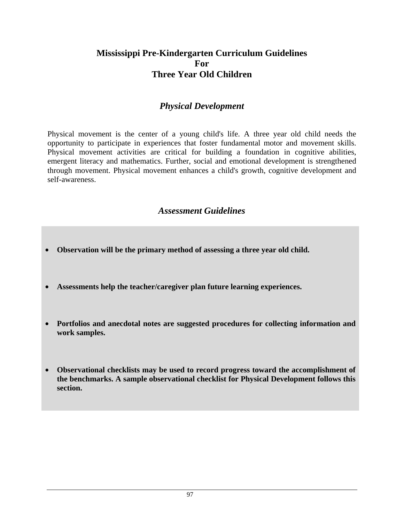# **Mississippi Pre-Kindergarten Curriculum Guidelines For Three Year Old Children**

# *Physical Development*

Physical movement is the center of a young child's life. A three year old child needs the opportunity to participate in experiences that foster fundamental motor and movement skills. Physical movement activities are critical for building a foundation in cognitive abilities, emergent literacy and mathematics. Further, social and emotional development is strengthened through movement. Physical movement enhances a child's growth, cognitive development and self-awareness.

## *Assessment Guidelines*

- **Observation will be the primary method of assessing a three year old child.**
- **Assessments help the teacher/caregiver plan future learning experiences.**
- **Portfolios and anecdotal notes are suggested procedures for collecting information and work samples.**
- **Observational checklists may be used to record progress toward the accomplishment of the benchmarks. A sample observational checklist for Physical Development follows this section.**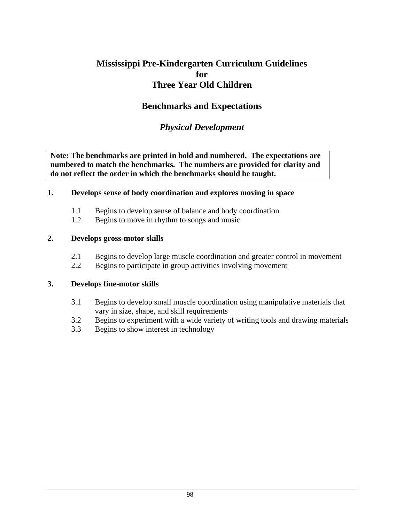# **Mississippi Pre-Kindergarten Curriculum Guidelines for Three Year Old Children**

## **Benchmarks and Expectations**

## *Physical Development*

**Note: The benchmarks are printed in bold and numbered. The expectations are numbered to match the benchmarks. The numbers are provided for clarity and do not reflect the order in which the benchmarks should be taught.**

#### **1. Develops sense of body coordination and explores moving in space**

- 1.1 Begins to develop sense of balance and body coordination
- 1.2 Begins to move in rhythm to songs and music

#### **2. Develops gross-motor skills**

- 2.1 Begins to develop large muscle coordination and greater control in movement
- 2.2 Begins to participate in group activities involving movement

#### **3. Develops fine-motor skills**

- 3.1 Begins to develop small muscle coordination using manipulative materials that vary in size, shape, and skill requirements
- 3.2 Begins to experiment with a wide variety of writing tools and drawing materials
- 3.3 Begins to show interest in technology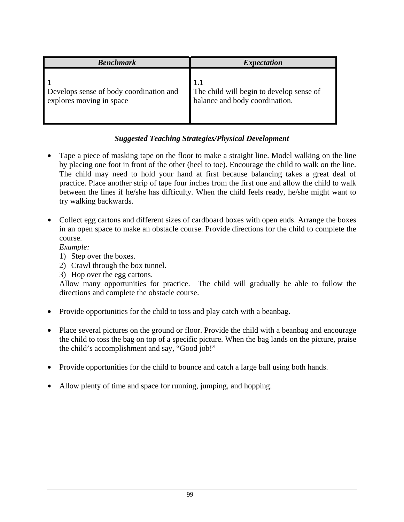| <b>Benchmark</b>                                                    | <i>Expectation</i>                                                                |
|---------------------------------------------------------------------|-----------------------------------------------------------------------------------|
| Develops sense of body coordination and<br>explores moving in space | 1.1<br>The child will begin to develop sense of<br>balance and body coordination. |

- Tape a piece of masking tape on the floor to make a straight line. Model walking on the line by placing one foot in front of the other (heel to toe). Encourage the child to walk on the line. The child may need to hold your hand at first because balancing takes a great deal of practice. Place another strip of tape four inches from the first one and allow the child to walk between the lines if he/she has difficulty. When the child feels ready, he/she might want to try walking backwards.
- Collect egg cartons and different sizes of cardboard boxes with open ends. Arrange the boxes in an open space to make an obstacle course. Provide directions for the child to complete the course.

*Example:* 

- 1) Step over the boxes.
- 2) Crawl through the box tunnel.
- 3) Hop over the egg cartons.

Allow many opportunities for practice. The child will gradually be able to follow the directions and complete the obstacle course.

- Provide opportunities for the child to toss and play catch with a beanbag.
- Place several pictures on the ground or floor. Provide the child with a beanbag and encourage the child to toss the bag on top of a specific picture. When the bag lands on the picture, praise the child's accomplishment and say, "Good job!"
- Provide opportunities for the child to bounce and catch a large ball using both hands.
- Allow plenty of time and space for running, jumping, and hopping.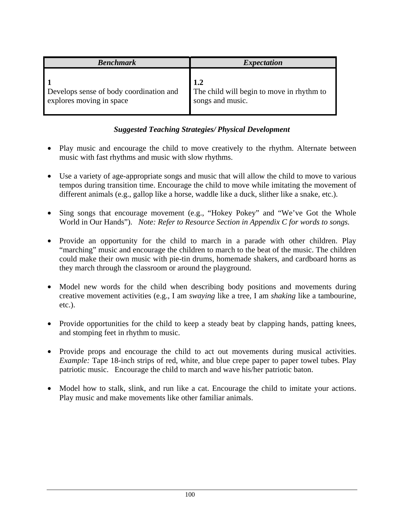| <b>Benchmark</b>                                                    | <i>Expectation</i>                                                   |
|---------------------------------------------------------------------|----------------------------------------------------------------------|
| Develops sense of body coordination and<br>explores moving in space | 1.2<br>The child will begin to move in rhythm to<br>songs and music. |

- Play music and encourage the child to move creatively to the rhythm. Alternate between music with fast rhythms and music with slow rhythms.
- Use a variety of age-appropriate songs and music that will allow the child to move to various tempos during transition time. Encourage the child to move while imitating the movement of different animals (e.g., gallop like a horse, waddle like a duck, slither like a snake, etc.).
- Sing songs that encourage movement (e.g., "Hokey Pokey" and "We've Got the Whole World in Our Hands"). *Note: Refer to Resource Section in Appendix C for words to songs.*
- Provide an opportunity for the child to march in a parade with other children. Play "marching" music and encourage the children to march to the beat of the music. The children could make their own music with pie-tin drums, homemade shakers, and cardboard horns as they march through the classroom or around the playground.
- Model new words for the child when describing body positions and movements during creative movement activities (e.g., I am *swaying* like a tree, I am *shaking* like a tambourine, etc.).
- Provide opportunities for the child to keep a steady beat by clapping hands, patting knees, and stomping feet in rhythm to music.
- Provide props and encourage the child to act out movements during musical activities. *Example:* Tape 18-inch strips of red, white, and blue crepe paper to paper towel tubes. Play patriotic music. Encourage the child to march and wave his/her patriotic baton.
- Model how to stalk, slink, and run like a cat. Encourage the child to imitate your actions. Play music and make movements like other familiar animals.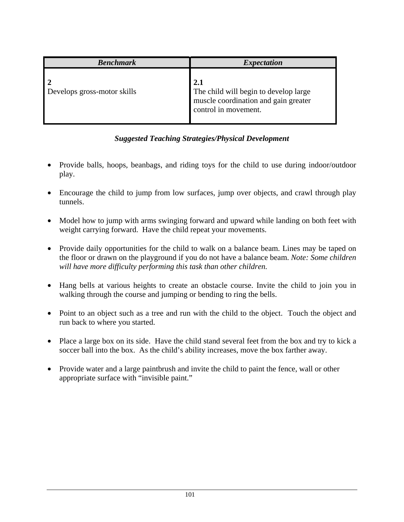| <b>Benchmark</b>            | <b>Expectation</b>                                                                                           |
|-----------------------------|--------------------------------------------------------------------------------------------------------------|
| Develops gross-motor skills | 2.1<br>The child will begin to develop large<br>muscle coordination and gain greater<br>control in movement. |

- Provide balls, hoops, beanbags, and riding toys for the child to use during indoor/outdoor play.
- Encourage the child to jump from low surfaces, jump over objects, and crawl through play tunnels.
- Model how to jump with arms swinging forward and upward while landing on both feet with weight carrying forward. Have the child repeat your movements.
- Provide daily opportunities for the child to walk on a balance beam. Lines may be taped on the floor or drawn on the playground if you do not have a balance beam. *Note: Some children will have more difficulty performing this task than other children.*
- Hang bells at various heights to create an obstacle course. Invite the child to join you in walking through the course and jumping or bending to ring the bells.
- Point to an object such as a tree and run with the child to the object. Touch the object and run back to where you started.
- Place a large box on its side. Have the child stand several feet from the box and try to kick a soccer ball into the box. As the child's ability increases, move the box farther away.
- Provide water and a large paintbrush and invite the child to paint the fence, wall or other appropriate surface with "invisible paint."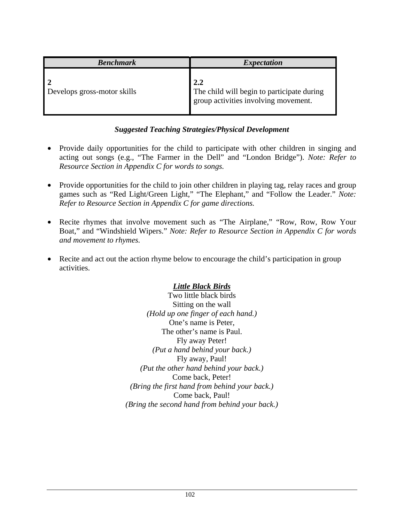| <b>Benchmark</b>            | <i>Expectation</i>                                                                        |
|-----------------------------|-------------------------------------------------------------------------------------------|
| Develops gross-motor skills | 2.2<br>The child will begin to participate during<br>group activities involving movement. |

- Provide daily opportunities for the child to participate with other children in singing and acting out songs (e.g., "The Farmer in the Dell" and "London Bridge"). *Note: Refer to Resource Section in Appendix C for words to songs.*
- Provide opportunities for the child to join other children in playing tag, relay races and group games such as "Red Light/Green Light," "The Elephant," and "Follow the Leader." *Note: Refer to Resource Section in Appendix C for game directions.*
- Recite rhymes that involve movement such as "The Airplane," "Row, Row, Row Your Boat," and "Windshield Wipers." *Note: Refer to Resource Section in Appendix C for words and movement to rhymes.*
- Recite and act out the action rhyme below to encourage the child's participation in group activities.

#### *Little Black Birds*

Two little black birds Sitting on the wall *(Hold up one finger of each hand.)*  One's name is Peter, The other's name is Paul. Fly away Peter! *(Put a hand behind your back.)*  Fly away, Paul! *(Put the other hand behind your back.)*  Come back, Peter! *(Bring the first hand from behind your back.)*  Come back, Paul! *(Bring the second hand from behind your back.)*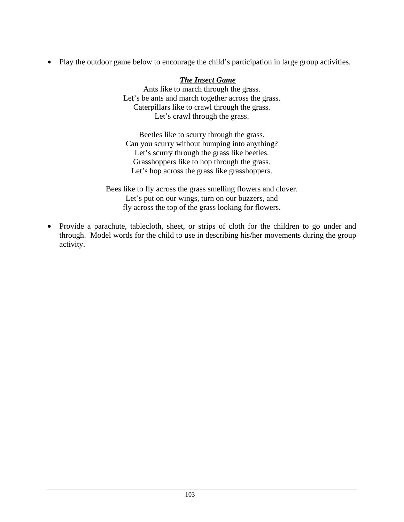• Play the outdoor game below to encourage the child's participation in large group activities.

#### *The Insect Game*

Ants like to march through the grass. Let's be ants and march together across the grass. Caterpillars like to crawl through the grass. Let's crawl through the grass.

Beetles like to scurry through the grass. Can you scurry without bumping into anything? Let's scurry through the grass like beetles. Grasshoppers like to hop through the grass. Let's hop across the grass like grasshoppers.

Bees like to fly across the grass smelling flowers and clover. Let's put on our wings, turn on our buzzers, and fly across the top of the grass looking for flowers.

• Provide a parachute, tablecloth, sheet, or strips of cloth for the children to go under and through. Model words for the child to use in describing his/her movements during the group activity.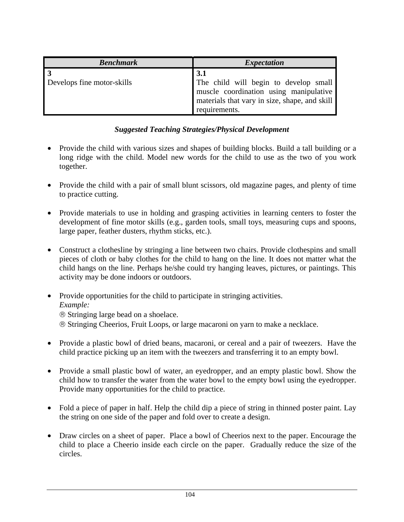| <b>Benchmark</b>           | <b>Expectation</b>                                                                                                                                       |
|----------------------------|----------------------------------------------------------------------------------------------------------------------------------------------------------|
| Develops fine motor-skills | 3.1<br>The child will begin to develop small<br>muscle coordination using manipulative<br>materials that vary in size, shape, and skill<br>requirements. |

- Provide the child with various sizes and shapes of building blocks. Build a tall building or a long ridge with the child. Model new words for the child to use as the two of you work together.
- Provide the child with a pair of small blunt scissors, old magazine pages, and plenty of time to practice cutting.
- Provide materials to use in holding and grasping activities in learning centers to foster the development of fine motor skills (e.g., garden tools, small toys, measuring cups and spoons, large paper, feather dusters, rhythm sticks, etc.).
- Construct a clothesline by stringing a line between two chairs. Provide clothespins and small pieces of cloth or baby clothes for the child to hang on the line. It does not matter what the child hangs on the line. Perhaps he/she could try hanging leaves, pictures, or paintings. This activity may be done indoors or outdoors.
- Provide opportunities for the child to participate in stringing activities. *Example:*  ® Stringing large bead on a shoelace. ® Stringing Cheerios, Fruit Loops, or large macaroni on yarn to make a necklace.
- 
- Provide a plastic bowl of dried beans, macaroni, or cereal and a pair of tweezers. Have the child practice picking up an item with the tweezers and transferring it to an empty bowl.
- Provide a small plastic bowl of water, an eyedropper, and an empty plastic bowl. Show the child how to transfer the water from the water bowl to the empty bowl using the eyedropper. Provide many opportunities for the child to practice.
- Fold a piece of paper in half. Help the child dip a piece of string in thinned poster paint. Lay the string on one side of the paper and fold over to create a design.
- Draw circles on a sheet of paper. Place a bowl of Cheerios next to the paper. Encourage the child to place a Cheerio inside each circle on the paper. Gradually reduce the size of the circles.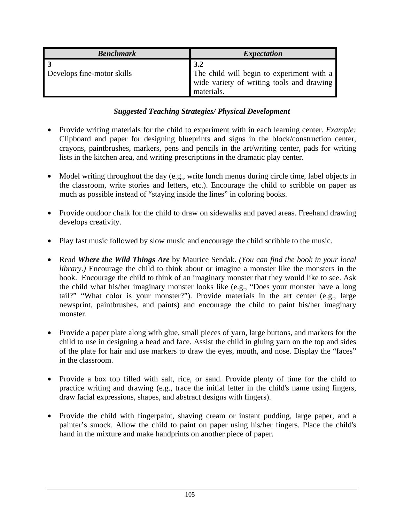| <b>Benchmark</b>           | <i>Expectation</i>                                                                                          |
|----------------------------|-------------------------------------------------------------------------------------------------------------|
| Develops fine-motor skills | 3.2<br>The child will begin to experiment with a<br>wide variety of writing tools and drawing<br>materials. |

- Provide writing materials for the child to experiment with in each learning center. *Example:* Clipboard and paper for designing blueprints and signs in the block/construction center, crayons, paintbrushes, markers, pens and pencils in the art/writing center, pads for writing lists in the kitchen area, and writing prescriptions in the dramatic play center.
- Model writing throughout the day (e.g., write lunch menus during circle time, label objects in the classroom, write stories and letters, etc.). Encourage the child to scribble on paper as much as possible instead of "staying inside the lines" in coloring books.
- Provide outdoor chalk for the child to draw on sidewalks and paved areas. Freehand drawing develops creativity.
- Play fast music followed by slow music and encourage the child scribble to the music.
- Read *Where the Wild Things Are* by Maurice Sendak. *(You can find the book in your local library*.*)* Encourage the child to think about or imagine a monster like the monsters in the book. Encourage the child to think of an imaginary monster that they would like to see. Ask the child what his/her imaginary monster looks like (e.g., "Does your monster have a long tail?" "What color is your monster?"). Provide materials in the art center (e.g., large newsprint, paintbrushes, and paints) and encourage the child to paint his/her imaginary monster.
- Provide a paper plate along with glue, small pieces of yarn, large buttons, and markers for the child to use in designing a head and face. Assist the child in gluing yarn on the top and sides of the plate for hair and use markers to draw the eyes, mouth, and nose. Display the "faces" in the classroom.
- Provide a box top filled with salt, rice, or sand. Provide plenty of time for the child to practice writing and drawing (e.g., trace the initial letter in the child's name using fingers, draw facial expressions, shapes, and abstract designs with fingers).
- Provide the child with fingerpaint, shaving cream or instant pudding, large paper, and a painter's smock. Allow the child to paint on paper using his/her fingers. Place the child's hand in the mixture and make handprints on another piece of paper.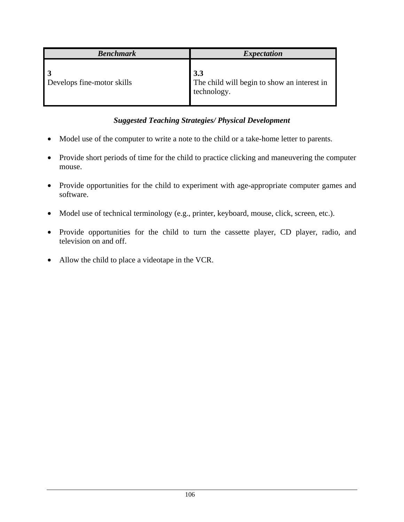| <b>Benchmark</b>                             | <i>Expectation</i>                                                |
|----------------------------------------------|-------------------------------------------------------------------|
| $\overline{3}$<br>Develops fine-motor skills | 3.3<br>The child will begin to show an interest in<br>technology. |

- Model use of the computer to write a note to the child or a take-home letter to parents.
- Provide short periods of time for the child to practice clicking and maneuvering the computer mouse.
- Provide opportunities for the child to experiment with age-appropriate computer games and software.
- Model use of technical terminology (e.g., printer, keyboard, mouse, click, screen, etc.).
- Provide opportunities for the child to turn the cassette player, CD player, radio, and television on and off.
- Allow the child to place a videotape in the VCR.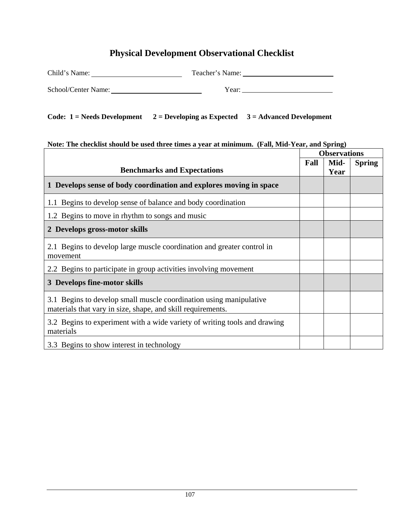# **Physical Development Observational Checklist**

| Child's Name:       | Teacher's Name: |
|---------------------|-----------------|
| School/Center Name: | Year:           |

#### Code: 1 = Needs Development 2 = Developing as Expected 3 = Advanced Development

#### **Note: The checklist should be used three times a year at minimum. (Fall, Mid-Year, and Spring)**

|                                                                                                                                   | <b>Observations</b> |              |               |
|-----------------------------------------------------------------------------------------------------------------------------------|---------------------|--------------|---------------|
| <b>Benchmarks and Expectations</b>                                                                                                | Fall                | Mid-<br>Year | <b>Spring</b> |
| 1 Develops sense of body coordination and explores moving in space                                                                |                     |              |               |
| 1.1 Begins to develop sense of balance and body coordination                                                                      |                     |              |               |
| 1.2 Begins to move in rhythm to songs and music                                                                                   |                     |              |               |
| 2 Develops gross-motor skills                                                                                                     |                     |              |               |
| 2.1 Begins to develop large muscle coordination and greater control in<br>movement                                                |                     |              |               |
| 2.2 Begins to participate in group activities involving movement                                                                  |                     |              |               |
| 3 Develops fine-motor skills                                                                                                      |                     |              |               |
| 3.1 Begins to develop small muscle coordination using manipulative<br>materials that vary in size, shape, and skill requirements. |                     |              |               |
| 3.2 Begins to experiment with a wide variety of writing tools and drawing<br>materials                                            |                     |              |               |
| 3.3 Begins to show interest in technology                                                                                         |                     |              |               |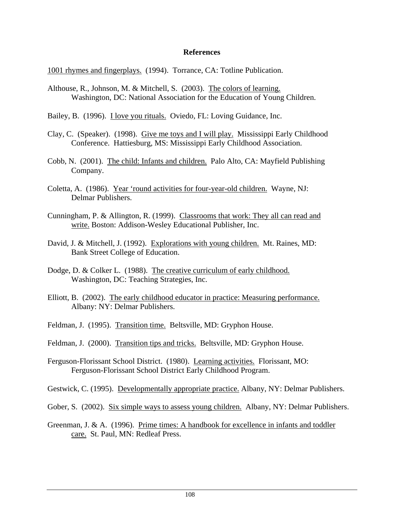#### **References**

1001 rhymes and fingerplays. (1994). Torrance, CA: Totline Publication.

- Althouse, R., Johnson, M. & Mitchell, S. (2003). The colors of learning. Washington, DC: National Association for the Education of Young Children.
- Bailey, B. (1996). *I love you rituals.* Oviedo, FL: Loving Guidance, Inc.
- Clay, C. (Speaker). (1998). Give me toys and I will play. Mississippi Early Childhood Conference. Hattiesburg, MS: Mississippi Early Childhood Association.
- Cobb, N. (2001). The child: Infants and children. Palo Alto, CA: Mayfield Publishing Company.
- Coletta, A. (1986). Year 'round activities for four-year-old children. Wayne, NJ: Delmar Publishers.
- Cunningham, P. & Allington, R. (1999). Classrooms that work: They all can read and write. Boston: Addison-Wesley Educational Publisher, Inc.
- David, J. & Mitchell, J. (1992). Explorations with young children. Mt. Raines, MD: Bank Street College of Education.
- Dodge, D. & Colker L. (1988). The creative curriculum of early childhood. Washington, DC: Teaching Strategies, Inc.
- Elliott, B. (2002). The early childhood educator in practice: Measuring performance. Albany: NY: Delmar Publishers.
- Feldman, J. (1995). Transition time. Beltsville, MD: Gryphon House.
- Feldman, J. (2000). Transition tips and tricks. Beltsville, MD: Gryphon House.
- Ferguson-Florissant School District. (1980). Learning activities. Florissant, MO: Ferguson-Florissant School District Early Childhood Program.
- Gestwick, C. (1995). Developmentally appropriate practice. Albany, NY: Delmar Publishers.
- Gober, S. (2002). Six simple ways to assess young children. Albany, NY: Delmar Publishers.
- Greenman, J. & A. (1996). Prime times: A handbook for excellence in infants and toddler care. St. Paul, MN: Redleaf Press.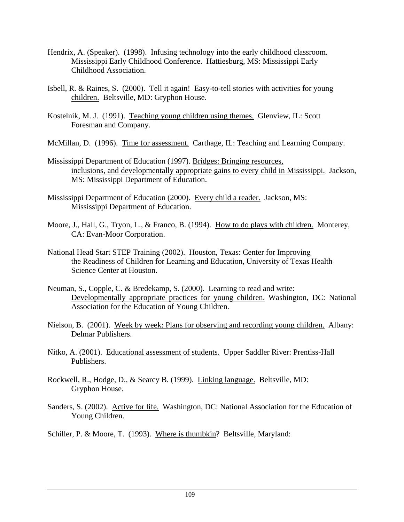- Hendrix, A. (Speaker). (1998). Infusing technology into the early childhood classroom. Mississippi Early Childhood Conference. Hattiesburg, MS: Mississippi Early Childhood Association.
- Isbell, R. & Raines, S. (2000). Tell it again! Easy-to-tell stories with activities for young children. Beltsville, MD: Gryphon House.
- Kostelnik, M. J. (1991). Teaching young children using themes. Glenview, IL: Scott Foresman and Company.
- McMillan, D. (1996). Time for assessment. Carthage, IL: Teaching and Learning Company.
- Mississippi Department of Education (1997). Bridges: Bringing resources, inclusions, and developmentally appropriate gains to every child in Mississippi. Jackson, MS: Mississippi Department of Education.
- Mississippi Department of Education (2000). Every child a reader. Jackson, MS: Mississippi Department of Education.
- Moore, J., Hall, G., Tryon, L., & Franco, B. (1994). How to do plays with children. Monterey, CA: Evan-Moor Corporation.
- National Head Start STEP Training (2002). Houston, Texas: Center for Improving the Readiness of Children for Learning and Education, University of Texas Health Science Center at Houston.
- Neuman, S., Copple, C. & Bredekamp, S. (2000). Learning to read and write: Developmentally appropriate practices for young children. Washington, DC: National Association for the Education of Young Children.
- Nielson, B. (2001). Week by week: Plans for observing and recording young children. Albany: Delmar Publishers.
- Nitko, A. (2001). Educational assessment of students. Upper Saddler River: Prentiss-Hall Publishers.
- Rockwell, R., Hodge, D., & Searcy B. (1999). Linking language. Beltsville, MD: Gryphon House.
- Sanders, S. (2002). Active for life. Washington, DC: National Association for the Education of Young Children.

Schiller, P. & Moore, T. (1993). Where is thumbkin? Beltsville, Maryland: